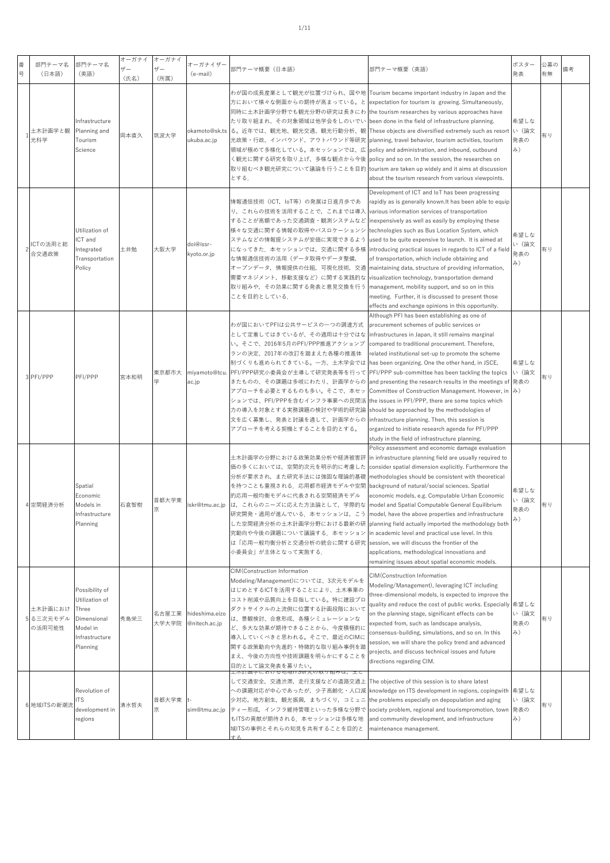| 番<br>뮹 | 部門テーマ名<br>(日本語)              | 部門テーマ名<br>(英語)                                                                                     | オーガナイ<br>ザー<br>(氏名) | オーガナイ<br>$+ -$<br>(所属) | オーガナイザー<br>(e-mail)             | 部門テーマ概要 (日本語)                                                                                                                                                                                                                                                                                                                                                                   | 部門テーマ概要(英語)                                                                                                                                                                                                                                                                                                                                                                                                                                                                                                                                                                                                                                                                                                                                               | ポスター<br>発表                 | 公募の<br>有無 | 備考 |
|--------|------------------------------|----------------------------------------------------------------------------------------------------|---------------------|------------------------|---------------------------------|---------------------------------------------------------------------------------------------------------------------------------------------------------------------------------------------------------------------------------------------------------------------------------------------------------------------------------------------------------------------------------|-----------------------------------------------------------------------------------------------------------------------------------------------------------------------------------------------------------------------------------------------------------------------------------------------------------------------------------------------------------------------------------------------------------------------------------------------------------------------------------------------------------------------------------------------------------------------------------------------------------------------------------------------------------------------------------------------------------------------------------------------------------|----------------------------|-----------|----|
|        | 土木計画学と観<br>光科学               | Infrastructure<br>Planning and<br>Tourism<br>Science                                               | 岡本直久                | 筑波大学                   | okamoto@sk.ts<br>ukuba.ac.jp    | 方において様々な側面からの期待が高まっている。と<br>同時に土木計画学分野でも観光分野の研究は長きにわ [the tourism researches by various approaches have<br>たり取り組まれ、その対象領域は他学会をしのいでい<br>光政策・行政、インバウンド、アウトバウンド等研究 planning, travel behavior, tourism activities, tourism<br>領域が極めて多様化している。本セッションでは、広<br>く観光に関する研究を取り上げ、多様な観点から今後<br>とする.                                                                                          | わが国の成長産業として観光が位置づけられ、国や地  Tourism became important industry in Japan and the<br>expectation for tourism is growing. Simultaneously,<br>been done in the field of infrastructure planning.<br>る。近年では、観光地、観光交通、観光行動分析、観 These objects are diversified extremely such as resort<br>policy and administration, and inbound, outbound<br>policy and so on. In the session, the researches on<br>取り組むべき観光研究について議論を行うことを目的  tourism are taken up widely and it aims at discussion<br>about the tourism research from various viewpoints.                                                                                                                                                                                                                         | 希望しな<br>い (論文<br>発表の<br>み) | 有り        |    |
|        | ICTの活用と総<br>合交通政策            | Utilization of<br>ICT and<br>Integrated<br>Transportation<br>Policy                                | 土井勉                 | 大阪大学                   | doi@issr-<br>kyoto.or.jp        | 情報通信技術(ICT, IoT等)の発展は日進月歩であ<br>り、これらの技術を活用することで、これまでは導入<br>することが高額であった交通調査・観測システムなど  inexpensively as well as easily by employing these<br>様々な交通に関する情報の取得やバスロケーションシ<br>ステムなどの情報提システムが安価に実現できるよう<br>になってきた.本セッションでは,交通に関する多様<br>な情報通信技術の活用(データ取得やデータ整備,<br>オープンデータ,情報提供の仕組,可視化技術,交通<br>需要マネジメント,移動支援など)に関する実践的な<br>取り組みや,その効果に関する発表と意見交換を行う<br>ことを目的としている.                       | Development of ICT and IoT has been progressing<br>rapidly as is generally known. It has been able to equip<br>various information services of transportation<br>technologies such as Bus Location System, which<br>used to be quite expensive to launch. It is aimed at<br>introducing practical issues in regards to ICT of a field<br>of transportation, which include obtaining and<br>maintaining data, structure of providing information,<br>visualization technology, transportation demand<br>management, mobility support, and so on in this<br>meeting. Further, it is discussed to present those<br>effects and exchange opinions in this opportunity.                                                                                        | 希望しな<br>い (論文<br>発表の<br>み) | 有り        |    |
|        | PFI/PPP                      | PFI/PPP                                                                                            | 宮本和明                | 東京都市大                  | miyamoto@tcu.<br>ac.jp          | わが国においてPFIは公共サービスの一つの調達方式<br>として定着してはきているが、その適用は十分ではな<br>い。そこで、2016年5月のPFI/PPP推進アクションプ<br>ランの決定、2017年の改訂を踏まえた各種の推進体<br>制づくりも進められてきている。一方、土木学会では<br>PFI/PPP研究小委員会が主導して研究発表等を行って<br>きたものの、その課題は多岐にわたり、計画学からの<br>アプローチを必要とするものも多い。そこで、本セッ<br>ションでは、PFI/PPPを含むインフラ事業への民間活<br>力の導入を対象とする実務課題の検討や学術的研究論<br>文を広く募集し、発表と討議を通して、計画学からの<br>アプローチを考える契機とすることを目的とする。                        | Although PFI has been establishing as one of<br>procurement schemes of public services or<br>infrastructures in Japan, it still remains marginal<br>compared to traditional procurement. Therefore,<br>related institutional set-up to promote the scheme<br>has been organizing. One the other hand, in JSCE,<br>PFI/PPP sub-committee has been tackling the topics<br>and presenting the research results in the meetings of 発表の<br>Committee of Construction Management. However, in み)<br>the issues in PFI/PPP, there are some topics which<br>should be approached by the methodologies of<br>infrastructure planning. Then, this session is<br>organized to initiate research agenda for PFI/PPP<br>study in the field of infrastructure planning. | 希望しな<br>い (論文              | 有り        |    |
|        | 空間経済分析                       | Spatial<br>Economic<br>Models in<br>Infrastructure<br>Planning                                     | 石倉智樹                | 首都大学東<br>京             | iskr@tmu.ac.jp                  | 土木計画学の分野における政策効果分析や経済被害評<br>価の多くにおいては、空間的次元を明示的に考慮した<br>分析が要求され、また研究手法には強固な理論的基礎<br>を持つことも重視される.応用都市経済モデルや空間<br>的応用一般均衡モデルに代表される空間経済モデル<br>は、これらのニーズに応えた方法論として、学際的な<br>研究開発・適用が進んでいる.本セッションは,こう  model, have the above properties and infrastructure<br>究動向や今後の課題について議論する、本セッション<br>は「応用―般均衡分析と交通分析の統合に関する研究  session, we will discuss the frontier of the<br>小委員会」が主体となって実施する. | Policy assessment and economic damage evaluation<br>in infrastructure planning field are usually required to<br>consider spatial dimension explicitly. Furthermore the<br>methodologies should be consistent with theoretical<br>background of natural/social sciences. Spatial<br>economic models, e.g. Computable Urban Economic<br>model and Spatial Computable General Equilibrium<br>した空間経済分析の土木計画学分野における最新の研 planning field actually imported the methodology both<br>in academic level and practical use level. In this<br>applications, methodological innovations and<br>remaining issues about spatial economic models.                                                                                                                         | 希望しな<br>い (論文<br>発表の<br>み) | 有り        |    |
|        | 土木計画におけ<br>る三次元モデル<br>の活用可能性 | Possibility of<br>Utilization of<br>Three<br>Dimensional<br>Model in<br>Infrastructure<br>Planning | 秀島栄三                | 名古屋工業<br>大学大学院         | hideshima.eizo<br>@nitech.ac.jp | CIM(Construction Information<br>Modeling/Management)については、3次元モデルを<br>はじめとするICTを活用することにより、土木事業の<br>コスト削減や品質向上を目指している。特に建設プロ<br>ダクトサイクルの上流側に位置する計画段階において<br>は、景観検討、合意形成、各種シミュレーションな<br>ど、多大な効果が期待できることから、今度積極的に<br>導入していくべきと思われる。そこで、最近のCIMに<br>関する政策動向や先進的・特徴的な取り組み事例を踏<br>まえ、今後の方向性や技術課題を明らかにすることを<br>目的として論文発表を募りたい。                                                           | CIM(Construction Information<br>Modeling/Management), leveraging ICT including<br>three-dimensional models, is expected to improve the<br>quality and reduce the cost of public works. Especially<br>on the planning stage, significant effects can be<br>expected from, such as landscape analysis,<br>consensus-building, simulations, and so on. In this<br>session, we will share the policy trend and advanced<br>projects, and discuss technical issues and future<br>directions regarding CIM.                                                                                                                                                                                                                                                     | 希望しな<br>い (論文<br>発表の<br>み) | 有り        |    |
|        | 6 地域ITSの新潮                   | Revolution of<br>TS<br>development in<br>regions                                                   | 清水哲夫                | 首都大学東<br>亰             | sim@tmu.ac.jp                   | ◎地域Ⅱ⊃研宄♡取り組みは,土C<br>して交通安全,交通渋滞,走行支援などの道路交通上<br>への課題対応が中心であったが,少子高齢化・人口減<br>少対応,地方創生,観光振興,まちづくり,コミュニ<br>ティー形成、インフラ維持管理といった多様な分野で<br>もITSの貢献が期待される. 本セッションは多様な地<br>域ITSの事例とそれらの知見を共有することを目的と                                                                                                                                                                                     | The objective of this session is to share latest<br>knowledge on ITS development in regions, copingwith<br>the problems especially on depopulation and aging<br>society problem, regional and tourismpromotion, town<br>and community development, and infrastructure<br>maintenance management.                                                                                                                                                                                                                                                                                                                                                                                                                                                          | 希望しな<br>い (論文<br>発表の<br>み) | 有り        |    |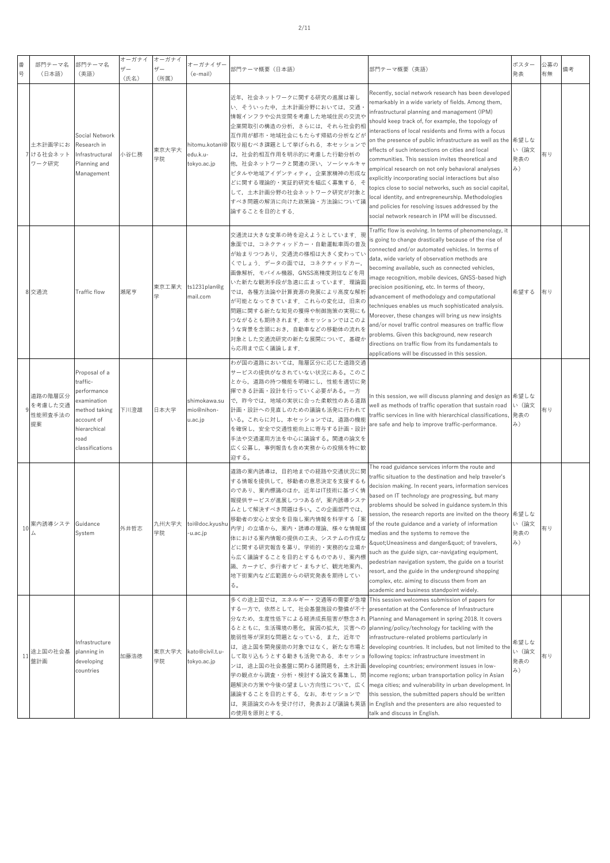| 番<br>号 | 部門テーマ名<br>(日本語)                     | 部門テーマ名<br>(英語)                                                                                                                    | オーガナイ<br>ザー<br>(氏名) | オーガナイ<br>ザー<br>(所属) | オーガナイザー<br>(e-mail)                   | 部門テーマ概要(日本語)                                                                                                                                                                                                                                                                                                                                                                                                                                                                                                                                                                          | 部門テーマ概要(英語)                                                                                                                                                                                                                                                                                                                                                                                                                                                                                                                                                                                                                                                                                                                                                                                  | ポスター<br>発表                 | 公募の<br>有無 | 備考 |
|--------|-------------------------------------|-----------------------------------------------------------------------------------------------------------------------------------|---------------------|---------------------|---------------------------------------|---------------------------------------------------------------------------------------------------------------------------------------------------------------------------------------------------------------------------------------------------------------------------------------------------------------------------------------------------------------------------------------------------------------------------------------------------------------------------------------------------------------------------------------------------------------------------------------|----------------------------------------------------------------------------------------------------------------------------------------------------------------------------------------------------------------------------------------------------------------------------------------------------------------------------------------------------------------------------------------------------------------------------------------------------------------------------------------------------------------------------------------------------------------------------------------------------------------------------------------------------------------------------------------------------------------------------------------------------------------------------------------------|----------------------------|-----------|----|
|        | 土木計画学にお<br>7 ける社会ネット<br>ワーク研究       | Social Network<br>Research in<br>Infrastructural<br>Planning and<br>Management                                                    | 小谷仁務                | 東京大学大<br>学院         | edu.k.u-<br>tokyo.ac.jp               | 近年,社会ネットワークに関する研究の進展は著し<br>い.そういった中,土木計画分野においては,交通<br>情報インフラや公共空間を考慮した地域住民の交流や<br>企業間取引の構造の分析,さらには,それら社会的相<br>互作用が都市・地域社会にもたらす帰結の分析などが<br>hitomu.kotani@ 取り組むべき課題として挙げられる.本セッションで<br>は、社会的相互作用を明示的に考慮した行動分析の<br>他、社会ネットワークと関連の深い、ソーシャルキャ<br>ピタルや地域アイデンティティ、企業家精神の形成な<br>どに関する理論的・実証的研究を幅広く募集する.そ<br>して、土木計画分野の社会ネットワーク研究が対象と<br>すべき問題の解消に向けた政策論・方法論について議<br>論することを目的とする.                                                                                                                                                                                                              | Recently, social network research has been developed<br>remarkably in a wide variety of fields. Among them,<br>infrastructural planning and management (IPM)<br>should keep track of, for example, the topology of<br>nteractions of local residents and firms with a focus<br>on the presence of public infrastructure as well as the<br>effects of such interactions on cities and local<br>communities. This session invites theoretical and<br>empirical research on not only behavioral analyses<br>explicitly incorporating social interactions but also<br>topics close to social networks, such as social capital,<br>local identity, and entrepreneurship. Methodologies<br>and policies for resolving issues addressed by the<br>social network research in IPM will be discussed. | 希望しな<br>い (論文<br>発表の<br>み) | 有り        |    |
|        | 8 交通流                               | Traffic flow                                                                                                                      | 瀬尾亨                 | 東京工業大<br>学          | ts1231plan@g<br>mail.com              | 交通流は大きな変革の時を迎えようとしています.現<br>象面では、コネクティッドカー・自動運転車両の普及<br>が始まりつつあり、交通流の様相は大きく変わってい<br>くでしょう. データの面では、コネクティッドカー,<br>画像解析, モバイル機器, GNSS高精度測位などを用<br>いた新たな観測手段が急速に広まっています.理論面<br>では、各種方法論や計算資源の発展により高度な解析<br>が可能となってきています.これらの変化は,旧来の<br>問題に関する新たな知見の獲得や制御施策の実現にも<br>つながるとも期待されます.本セッションではこのよ<br>うな背景を念頭におき,自動車などの移動体の流れを<br>対象とした交通流研究の新たな展開について、基礎か<br>ら応用まで広く議論します.                                                                                                                                                                                                                     | Traffic flow is evolving. In terms of phenomenology, it<br>s going to change drastically because of the rise of<br>connected and/or automated vehicles. In terms of<br>data, wide variety of observation methods are<br>becoming available, such as connected vehicles,<br>mage recognition, mobile devices, GNSS-based high<br>precision positioning, etc. In terms of theory,<br>advancement of methodology and computational<br>techniques enables us much sophisticated analysis.<br>Moreover, these changes will bring us new insights<br>and/or novel traffic control measures on traffic flow<br>problems. Given this background, new research<br>directions on traffic flow from its fundamentals to<br>applications will be discussed in this session.                              | 希望する                       | 有り        |    |
|        | 道路の階層区分<br>を考慮した交通<br>性能照査手法の<br>提案 | Proposal of a<br>traffic-<br>performance<br>examination<br>method taking<br>account of<br>hierarchical<br>road<br>classifications | 下川澄雄                | 日本大学                | shimokawa.su<br>mio@nihon-<br>u.ac.jp | わが国の道路においては、階層区分に応じた道路交通<br>サービスの提供がなされていない状況にある。このこ<br>とから、道路の持つ機能を明確にし、性能を適切に発<br>揮できる計画・設計を行っていく必要がある。一方<br>で、昨今では、地域の実状に合った柔軟性のある道路<br>計画・設計への見直しのための議論も活発に行われて<br>いる。これらに対し、本セッションでは、道路の機能<br>を確保し,安全で交通性能向上に寄与する計画・設計<br>手法や交通運用方法を中心に議論する。関連の論文を<br>広く公募し,事例報告も含め実務からの投稿を特に歓<br>迎する。                                                                                                                                                                                                                                                                                           | In this session, we will discuss planning and design as 希望しな<br>well as methods of traffic operation that sustain road<br>traffic services in line with hierarchical classifications,<br>are safe and help to improve traffic-performance.                                                                                                                                                                                                                                                                                                                                                                                                                                                                                                                                                   | い (論文<br>発表の<br>み)         | 有り        |    |
| 10     | 案内誘導システ                             | Guidance<br>System                                                                                                                | 外井哲志                | 九州大学大<br>学院         | toi@doc.kyushu<br>-u.ac.jp            | 道路の案内誘導は,目的地までの経路や交通状況に関<br>する情報を提供して、移動者の意思決定を支援するも<br>のであり、案内標識のほか,近年はIT技術に基づく情<br>報提供サービスが進展しつつあるが、案内誘導システ<br>ムとして解決すべき問題は多い。この企画部門では、<br>移動者の安心と安全を目指し案内情報を科学する「案<br>内学」の立場から,案内・誘導の理論、様々な情報媒<br>体における案内情報の提供の工夫、システムの作成な<br>どに関する研究報告を募り,学術的・実務的な立場か<br>ら広く議論することを目的とするものであり、案内標<br>識、カーナビ、歩行者ナビ・まちナビ、観光地案内、<br>地下街案内など広範囲からの研究発表を期待してい<br>る。                                                                                                                                                                                                                                    | The road guidance services inform the route and<br>raffic situation to the destination and help traveler's<br>decision making. In recent years, information services<br>based on IT technology are progressing, but many<br>problems should be solved in guidance system.In this<br>session, the research reports are invited on the theory 希望しな<br>of the route guidance and a variety of information<br>medias and the systems to remove the<br>"Uneasiness and danger" of travelers,<br>such as the guide sign, car-navigating equipment,<br>pedestrian navigation system, the guide on a tourist<br>resort, and the guide in the underground shopping<br>complex, etc. aiming to discuss them from an<br>academic and business standpoint widely.                                        | い (論文<br>発表の<br>み)         | 有り        |    |
| 11     | 途上国の社会基<br>盤計画                      | Infrastructure<br>planning in<br>developing<br>countries                                                                          | 加藤浩徳                | 東京大学大<br>学院         | kato@civil.t.u-<br>tokyo.ac.jp        | 多くの途上国では,エネルギー・交通等の需要が急増  This session welcomes submission of papers for<br>する一方で,依然として,社会基盤施設の整備が不十<br>分なため,生産性低下による経済成長阻害が懸念され Planning and Management in spring 2018. It covers<br>るとともに,生活環境の悪化,貧困の拡大,災害への planning/policy/technology for tackling with the<br>脆弱性等が深刻な問題となっている.また,近年で<br>は、途上国を開発援助の対象ではなく、新たな市場と<br>して取り込もうとする動きも活発である.本セッショ<br>ンは,途上国の社会基盤に関わる諸問題を,土木計画 [developing countries; environment issues in low-<br>学の観点から調査・分析・検討する論文を募集し,問<br>議論することを目的とする.なお,本セッションで<br>は,英語論文のみを受け付け,発表および議論も英語 in English and the presenters are also requested to<br>の使用を原則とする. | presentation at the Conference of Infrastructure<br>infrastructure-related problems particularly in<br>developing countries. It includes, but not limited to the<br>following topics: infrastructure investment in<br>income regions; urban transportation policy in Asian<br>題解決の方策や今後の望ましい方向性について,広く  mega cities; and vulnerability in urban development. In<br>this session, the submitted papers should be written<br>talk and discuss in English.                                                                                                                                                                                                                                                                                                                                      | 希望しな<br>い(論文<br>発表の<br>み)  | 有り        |    |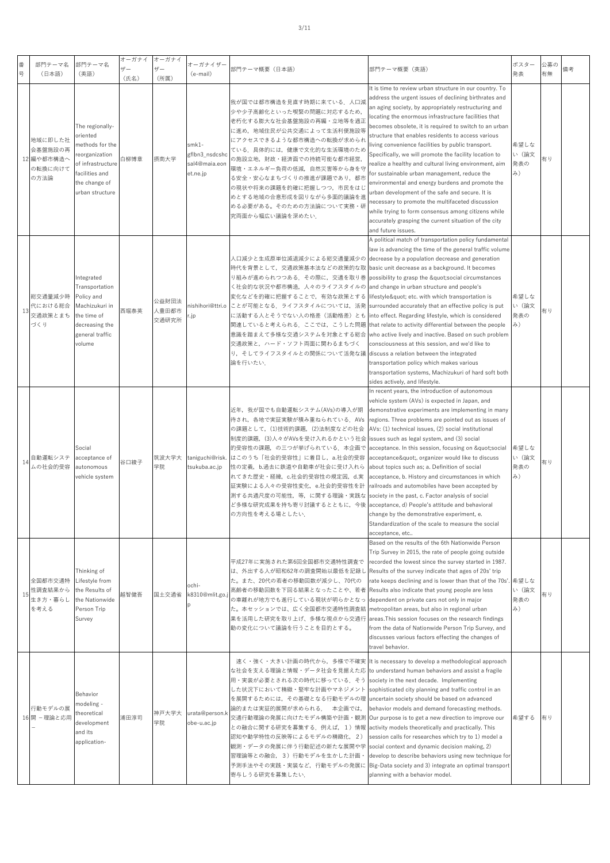| 号 | 番  | 部門テーマ名<br>(日本語)                                     | 部門テーマ名<br>(英語)                                                                                                                              | オーガナイ<br>ザー<br>(氏名) | オーガナイ<br>$+$<br>(所属)    | オーガナイザー<br>(e-mail)                                 | 部門テーマ概要 (日本語)                                                                                                                                                                                                                                                                                                                                                                                                                                                                                                                                                    | 部門テーマ概要(英語)                                                                                                                                                                                                                                                                                                                                                                                                                                                                                                                                                                                                                                                                                                                                                                                                                                                                 | ポスター<br>発表                                      | 公募の<br>有無 | 備考 |
|---|----|-----------------------------------------------------|---------------------------------------------------------------------------------------------------------------------------------------------|---------------------|-------------------------|-----------------------------------------------------|------------------------------------------------------------------------------------------------------------------------------------------------------------------------------------------------------------------------------------------------------------------------------------------------------------------------------------------------------------------------------------------------------------------------------------------------------------------------------------------------------------------------------------------------------------------|-----------------------------------------------------------------------------------------------------------------------------------------------------------------------------------------------------------------------------------------------------------------------------------------------------------------------------------------------------------------------------------------------------------------------------------------------------------------------------------------------------------------------------------------------------------------------------------------------------------------------------------------------------------------------------------------------------------------------------------------------------------------------------------------------------------------------------------------------------------------------------|-------------------------------------------------|-----------|----|
|   |    | 地域に即した社<br>会基盤施設の再<br>12 編や都市構造へ<br>の転換に向けて<br>の方法論 | The regionally-<br>oriented<br>methods for the<br>reorganization<br>of infrastructure<br>facilities and<br>the change of<br>urban structure | 白柳博章                | 摂南大学                    | smk1-<br>gflbn3_nsdcsh<br>sal4@maia.eon<br>et.ne.jp | 我が国では都市構造を見直す時期に来ている.人口減<br>少や少子高齢化といった喫緊の問題に対応するため,<br>老朽化する膨大な社会基盤施設の再編・立地等を適正<br>に進め,地域住民が公共交通によって生活利便施設等<br>にアクセスできるような都市構造への転換が求められ<br>ている。具体的には、健康で文化的な生活環境のため<br>の施設立地,財政・経済面での持続可能な都市経営,<br>環境・エネルギー負荷の低減、自然災害等から身を守<br>る安全・安心なまちづくりの推進が課題であり、都市<br>の現状や将来の課題を的確に把握しつつ、市民をはじ<br>めとする地域の合意形成を図りながら多面的議論を進<br>める必要がある。そのための方法論について実務・研<br>究両面から幅広い議論を深めたい.                                                                                                                                                                                                 | It is time to review urban structure in our country. To<br>address the urgent issues of declining birthrates and<br>an aging society, by appropriately restructuring and<br>locating the enormous infrastructure facilities that<br>becomes obsolete, it is required to switch to an urban<br>structure that enables residents to access various<br>living convenience facilities by public transport.<br>Specifically, we will promote the facility location to<br>realize a healthy and cultural living environment, aim<br>for sustainable urban management, reduce the<br>environmental and energy burdens and promote the<br>urban development of the safe and secure. It is<br>necessary to promote the multifaceted discussion<br>while trying to form consensus among citizens while<br>accurately grasping the current situation of the city<br>and future issues. | 希望しな<br>い (論文<br>発表の<br>み)                      | 有り        |    |
|   | 13 | 総交通量減少時<br>代における総合<br>交通政策とまち<br>づくり                | Integrated<br>Transportation<br>Policy and<br>Machizukuri in<br>the time of<br>decreasing the<br>general traffic<br>volume                  | 西堀泰英                | 公益財団法<br>人豊田都市<br>交通研究所 | nishihori@ttri.o<br>.jp                             | 人口減少と生成原単位減退減少による総交通量減少の decrease by a population decrease and generation<br>時代を背景として,交通政策基本法などの政策的な取  basic unit decrease as a background. It becomes<br>り組みが進められつつある.その際に,交通を取り巻 possibility to grasp the "social circumstances<br>く社会的な状況や都市構造,人々のライフスタイルの and change in urban structure and people's<br>変化などを的確に把握することで、有効な政策とする<br>ことが可能となる。ライフスタイルについては、活発<br>に活動する人とそうでない人の格差(活動格差)とも<br>関連していると考えられる。ここでは、こうした問題<br>意識を踏まえて多様な交通システムを対象とする総合<br>交通政策と、ハード・ソフト両面に関わるまちづく<br>り、そしてライフスタイルとの関係について活発な議 discuss a relation between the integrated<br>論を行いたい. | A political match of transportation policy fundamental<br>law is advancing the time of the general traffic volume<br>lifestyle" etc. with which transportation is<br>surrounded accurately that an effective policy is put<br>into effect. Regarding lifestyle, which is considered<br>that relate to activity differential between the people<br>who active lively and inactive. Based on such problem<br>consciousness at this session, and we'd like to<br>transportation policy which makes various<br>transportation systems, Machizukuri of hard soft both<br>sides actively, and lifestyle.                                                                                                                                                                                                                                                                          | 希望しな<br>い (論文<br>発表の<br>$\mathcal{J}_{\lambda}$ | 有り        |    |
|   | 14 | 自動運転システ<br>ムの社会的受容                                  | Social<br>acceptance of<br>autonomous<br>vehicle system                                                                                     | 谷口綾子                | 筑波大学大<br>学院             | taniguchi@risk.<br>tsukuba.ac.jp                    | 近年,我が国でも自動運転システム(AVs)の導入が期<br>待され,各地で実証実験が積み重ねられている.AVs<br>の課題として、(1)技術的課題, (2)法制度などの社会<br>制度的課題,(3)人々がAVsを受け入れるかという社会  issues such as legal system, and (3) social<br>的受容性の課題,の三つが挙げられている.本企画で<br>はこのうち「社会的受容性」に着目し, a.社会的受容<br>性の定義, b.過去に鉄道や自動車が社会に受け入れら<br>れてきた歴史・経緯, c.社会的受容性の規定因, d.実<br>証実験による人々の受容性変化, e.社会的受容性を計<br>測する共通尺度の可能性,等,に関する理論・実践な<br>ど多様な研究成果を持ち寄り討議するとともに,今後<br>の方向性を考える場としたい.                                                                                                                                                              | In recent years, the introduction of autonomous<br>vehicle system (AVs) is expected in Japan, and<br>demonstrative experiments are implementing in many<br>regions. Three problems are pointed out as issues of<br>AVs: (1) technical issues, (2) social institutional<br>acceptance. In this session, focusing on "social<br>acceptance", organizer would like to discuss<br>about topics such as; a. Definition of social<br>acceptance, b. History and circumstances in which<br>railroads and automobiles have been accepted by<br>society in the past, c. Factor analysis of social<br>acceptance, d) People's attitude and behavioral<br>change by the demonstrative experiment, e.<br>Standardization of the scale to measure the social<br>acceptance, etc                                                                                                          | 希望しな<br>い (論文<br>発表の<br>み)                      | 有り        |    |
|   | 15 | 全国都市交通特<br>性調査結果から<br>生き方・暮らし<br>を考える               | Thinking of<br>Lifestyle from<br>the Results of<br>the Nationwide<br>Person Trip<br>Survey                                                  | 越智健吾                | 国土交通省                   | ochi-<br>k8310@mlit.go.<br>D                        | 平成27年に実施された第6回全国都市交通特性調査で<br>は、外出する人が昭和62年の調査開始以最低を記録し<br>た。また、20代の若者の移動回数が減少し、70代の<br>高齢者の移動回数を下回る結果となったことや、若者<br>の車離れが地方でも進行している現状が明らかとなっ<br>た。本セッションでは、広く全国都市交通特性調査結<br>果を活用した研究を取り上げ、多様な視点から交通行<br>動の変化について議論を行うことを目的とする。                                                                                                                                                                                                                                                                                                                                    | Based on the results of the 6th Nationwide Person<br>Trip Survey in 2015, the rate of people going outside<br>recorded the lowest since the survey started in 1987.<br>Results of the survey indicate that ages of 20s' trip<br>rate keeps declining and is lower than that of the 70s'. 希望しな<br>Results also indicate that young people are less<br>dependent on private cars not only in major<br>metropolitan areas, but also in regional urban<br>areas. This session focuses on the research findings<br>from the data of Nationwide Person Trip Survey, and<br>discusses various factors effecting the changes of<br>travel behavior.                                                                                                                                                                                                                                 | い (論文<br>発表の<br>み)                              | 有り        |    |
|   |    | 行動モデルの展<br>16 開 - 理論と応用                             | Behavior<br>modeling -<br>theoretical<br>development<br>and its<br>application-                                                             | 浦田淳司                | 神戸大学大<br>学院             | urata@person.<br>obe-u.ac.jp                        | な社会を支える理論と情報・データ社会を見据えた応  to understand human behaviors and assist a fragile<br>用・実装が必要とされる次の時代に移っている.そう  society in the next decade. Implementing<br>した状況下において精緻・堅牢な計画やマネジメント<br>を展開するためには、その基礎となる行動モデルの理<br>論的または実証的展開が求められる. 本企画では,<br>交通行動理論の発展に向けたモデル構築や計画・観測<br>との融合に関する研究を募集する.例えば,1)情報<br>認知や動学特性の反映等によるモデルの精緻化, 2)<br>観測・データの発展に伴う行動記述の新たな展開や学  social context and dynamic decision making, 2)<br>習理論等との融合,3)行動モデルを生かした計画・<br>寄与しうる研究を募集したい.                                                                                                            | 速く・強く・大きい計画の時代から,多様で不確実 It is necessary to develop a methodological approach<br>sophisticated city planning and traffic control in an<br>uncertain society should be based on advanced<br>behavior models and demand forecasting methods.<br>Our purpose is to get a new direction to improve our<br>activity models theoretically and practically. This<br>session calls for researches which try to 1) model a<br>develop to describe behaviors using new technique for<br>予測手法やその実践・実装など,行動モデルの発展に Big-Data society and 3) integrate an optimal transport<br>planning with a behavior model.                                                                                                                                                                                                                                                                             | 希望する                                            | 有り        |    |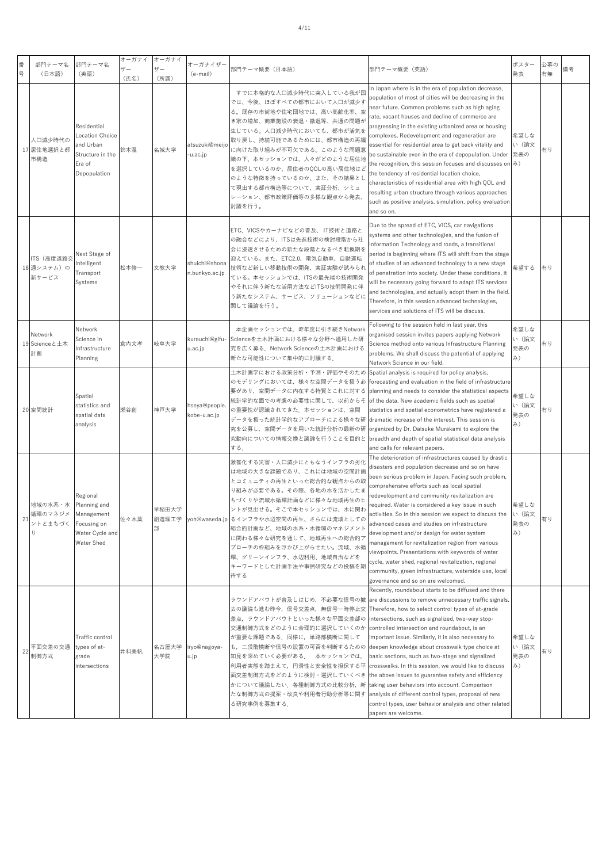| 番  | 部門テーマ名                            | 部門テーマ名                                                                                   | オーガナイ<br>ザー | オーガナイ<br>ザー  | オーガナイザー                         | 部門テーマ概要(日本語)                                                                                                                                                                                                                                                                                                                                                           | 部門テーマ概要(英語)                                                                                                                                                                                                                                                                                                                                                                                                                                                                                                                                                                                                                                                                                                                                                         | ポスター                       | 公募の | 備考 |
|----|-----------------------------------|------------------------------------------------------------------------------------------|-------------|--------------|---------------------------------|------------------------------------------------------------------------------------------------------------------------------------------------------------------------------------------------------------------------------------------------------------------------------------------------------------------------------------------------------------------------|---------------------------------------------------------------------------------------------------------------------------------------------------------------------------------------------------------------------------------------------------------------------------------------------------------------------------------------------------------------------------------------------------------------------------------------------------------------------------------------------------------------------------------------------------------------------------------------------------------------------------------------------------------------------------------------------------------------------------------------------------------------------|----------------------------|-----|----|
| 号  | (日本語)                             | (英語)                                                                                     | (氏名)        | (所属)         | (e-mail)                        |                                                                                                                                                                                                                                                                                                                                                                        |                                                                                                                                                                                                                                                                                                                                                                                                                                                                                                                                                                                                                                                                                                                                                                     | 発表                         | 有無  |    |
|    | 人口減少時代の<br>17 居住地選択と都<br>市構造      | Residential<br>ocation Choice<br>and Urban<br>Structure in the<br>Era of<br>Depopulation | 鈴木温         | 名城大学         | atsuzuki@meijo<br>u.ac.jp-      | すでに本格的な人口減少時代に突入している我が国<br>では、今後、ほぼすべての都市において人口が減少す<br>る。既存の市街地や住宅団地では、高い高齢化率、空<br>き家の増加、商業施設の衰退・撤退等、共通の問題が<br>生じている。人口減少時代においても、都市が活気を<br>取り戻し、持続可能であるためには、都市構造の再編<br>こ向けた取り組みが不可欠である。このような問題意<br>識の下、本セッションでは、人々がどのような居住地<br>を選択しているのか、居住者のQOLの高い居住地はど<br>のような特徴を持っているのか、また、その結果とし<br>て現出する都市構造等について、実証分析、シミュ<br>レーション、都市政策評価等の多様な観点から発表、<br>討議を行う。                  | In Japan where is in the era of population decrease,<br>population of most of cities will be decreasing in the<br>near future. Common problems such as high aging<br>ate, vacant houses and decline of commerce are<br>progressing in the existing urbanized area or housing<br>complexes. Redevelopment and regeneration are<br>essential for residential area to get back vitality and<br>be sustainable even in the era of depopulation. Under<br>the recognition, this session focuses and discusses on $\partial$ )<br>the tendency of residential location choice,<br>characteristics of residential area with high QOL and<br>resulting urban structure through various approaches<br>such as positive analysis, simulation, policy evaluation<br>and so on. | 希望しな<br>い(論文<br>発表の        | 有り  |    |
|    | ITS (高度道路交<br>18 通システム)の<br>新サービス | <b>Vext Stage of</b><br>ntelligent<br>Transport<br>Systems                               | 松本修一        | 文教大学         | shuichi@shona<br>n.bunkyo.ac.jp | ETC、VICSやカーナビなどの普及、 IT技術と道路と<br>の融合などにより、ITSは先進技術の検討段階から社<br>会に浸透させるための新たな段階となるべき転換期を<br>迎えている。また、ETC2.0、電気自動車、自動運転<br>技術など新しい移動技術の開発、実証実験が試みられ<br>ている。本セッションでは、ITSの最先端の技術開発<br>やそれに伴う新たな活用方法などITSの技術開発に伴<br>う新たなシステム、サービス、ソリューションなどに<br>関して議論を行う。                                                                                                                     | Due to the spread of ETC, VICS, car navigations<br>systems and other technologies, and the fusion of<br>nformation Technology and roads, a transitional<br>period is beginning where ITS will shift from the stage<br>of studies of an advanced technology to a new stage<br>of penetration into society. Under these conditions, it<br>will be necessary going forward to adapt ITS services<br>and technologies, and actually adopt them in the field.<br>Therefore, in this session advanced technologies,<br>services and solutions of ITS will be discuss.                                                                                                                                                                                                     | 希望する                       | 有り  |    |
|    | Network<br>19 Scienceと土木<br>計画    | Vetwork<br>Science in<br>nfrastructure<br>Planning                                       | 倉内文孝        | 岐阜大学         | kurauchi@gifu-<br>u.ac.jp       | 本企画セッションでは、昨年度に引き続きNetwork<br>Scienceを土木計画における様々な分野へ適用した研<br>究を広く募る.Network Scienceの土木計画における<br>新たな可能性について集中的に討議する.                                                                                                                                                                                                                                                    | ollowing to the session held in last year, this<br>organised session invites papers applying Network<br>Science method onto various Infrastructure Planning<br>problems. We shall discuss the potential of applying<br>Network Science in our field.                                                                                                                                                                                                                                                                                                                                                                                                                                                                                                                | 希望しな<br>い (論文<br>発表の<br>み) | 有り  |    |
|    | 20 空間統計                           | Spatial<br>statistics and<br>spatial data<br>analysis                                    | 頼谷創         | 神戸大学         | hseya@people.<br>kobe-u.ac.jp   | 土木計画学における政策分析・予測・評価やそのため<br>のモデリングにおいては,様々な空間データを扱う必<br>要があり,空間データに内在する特質とこれに対する<br>統計学的な面での考慮の必要性に関して,以前からそ<br>の重要性が認識されてきた.本セッションは,空間<br>データを扱った統計学的なアプローチによる様々な研<br>究を公募し,空間データを用いた統計分析の最新の研<br>究動向についての情報交換と議論を行うことを目的と<br>する.                                                                                                                                     | Spatial analysis is required for policy analysis,<br>forecasting and evaluation in the field of infrastructure<br>planning and needs to consider the statistical aspects<br>of the data. New academic fields such as spatial<br>statistics and spatial econometrics have registered a<br>dramatic increase of the interest. This session is<br>organized by Dr. Daisuke Murakami to explore the<br>breadth and depth of spatial statistical data analysis<br>and calls for relevant papers.                                                                                                                                                                                                                                                                         | 希望しな<br>い(論文<br>発表の<br>み)  | 有り  |    |
|    | 地域の水系・水<br>循環のマネジメ<br>ントとまちづく     | Regional<br>Planning and<br>Management<br>Focusing on<br>Water Cycle and<br>Water Shed   | 佐々木葉        | 早稲田大学<br>部   |                                 | 激甚化する災害・人口減少にともなうインフラの劣化<br>は地域の大きな課題であり、これには地域の空間計画<br>とコミュニティの再生といった総合的な観点からの取<br>り組みが必要である。その際、各地の水を活かしたま<br>ちづくりや流域水循環計画などに様々な地域再生のヒ<br>ントが見出せる。そこで本セッションでは、水に関わ<br>創造理工学 yoh@waseda.jp るインフラや水辺空間の再生、さらには流域としての<br>総合的計画など、地域の水系・水循環のマネジメント<br>に関わる様々な研究を通して、地域再生への総合的ア<br>プローチの枠組みを浮かび上がらせたい。流域、水循<br>環、グリーンインフラ、水辺利用、地域自治などを<br>キーワードとした計画手法や事例研究などの投稿を期<br>待する | The deterioration of infrastructures caused by drastic<br>disasters and population decrease and so on have<br>been serious problem in Japan. Facing such problem,<br>comprehensive efforts such as local spatial<br>edevelopment and community revitalization are<br>equired. Water is considered a key issue in such<br>activities. So in this session we expect to discuss the<br>advanced cases and studies on infrastructure<br>development and/or design for water system<br>management for revitalization region from various<br>viewpoints. Presentations with keywords of water<br>cycle, water shed, regional revitalization, regional<br>community, green infrastructure, waterside use, local<br>governance and so on are welcomed.                      | 希望しな<br>い (論文<br>発表の<br>み) | 旬り  |    |
| 22 | 平面交差の交通<br>制御方式                   | Traffic control<br>types of at-<br>grade<br>ntersections                                 | 井料美帆        | 名古屋大学<br>大学院 | iryo@nagoya-<br>u.jp            | ラウンドアバウトが普及しはじめ、不必要な信号の撤<br>去の議論も進む昨今,信号交差点,無信号一時停止交<br>差点,ラウンドアバウトといった様々な平面交差部の<br>交通制御方式をどのように合理的に選択していくのか<br>が重要な課題である.同様に,単路部横断に関して<br>も、二段階横断や信号の設置の可否を判断するための<br> 知見を深めていく必要がある.  本セッションでは,<br>利用者実態を踏まえて,円滑性と安全性を担保する平<br>面交差制御方式をどのように検討・選択していくべき [the above issues to guarantee safety and efficiency                                                         | Recently, roundabout starts to be diffused and there<br>are discussions to remove unnecessary traffic signals.<br>Therefore, how to select control types of at-grade<br>ntersections, such as signalized, two-way stop-<br>controlled intersection and roundabout, is an<br>mportant issue. Similarly, it is also necessary to<br>deepen knowledge about crosswalk type choice at<br>basic sections, such as two-stage and signalized<br>crosswalks. In this session, we would like to discuss                                                                                                                                                                                                                                                                      | 希望しな<br>い (論文<br>発表の<br>み) | 有り  |    |

かについて議論したい. 各種制御方式の比較分析, 新 たな制御方式の提案・改良や利用者行動分析等に関す taking user behaviors into account. Comparison analysis of different control types, proposal of new control types, user behavior analysis and other related

Τ

┬

papers are welcome.

る研究事例を募集する.

┱

Τ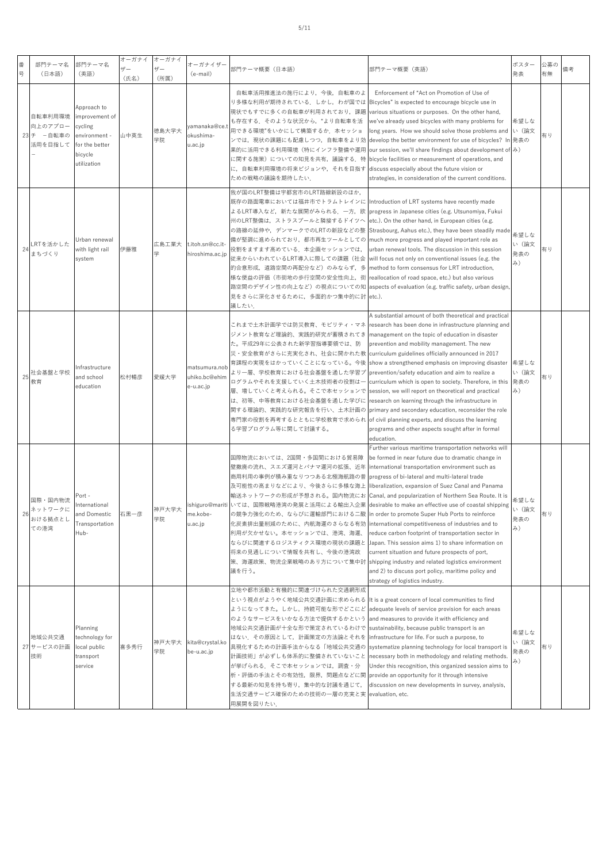| 番<br>뮹 | 部門テーマ名<br>(日本語)                             | 部門テーマ名<br>(英語)                                                                                        | オーガナイ<br>$+$ $+$<br>(氏名) | オーガナイ<br>ザー<br>(所属) | オーガナイザー<br>(e-mail)                         | 部門テーマ概要(日本語)                                                                                                                                                                                                                                                                                                                                                                                                                                                                                                                                                                                                                 | 部門テーマ概要(英語)                                                                                                                                                                                                                                                                                                                                                                                                                                                                                                                                                                                                                                                  | ポスター<br>発表                 | 公募の<br>有無 | 備考 |
|--------|---------------------------------------------|-------------------------------------------------------------------------------------------------------|--------------------------|---------------------|---------------------------------------------|------------------------------------------------------------------------------------------------------------------------------------------------------------------------------------------------------------------------------------------------------------------------------------------------------------------------------------------------------------------------------------------------------------------------------------------------------------------------------------------------------------------------------------------------------------------------------------------------------------------------------|--------------------------------------------------------------------------------------------------------------------------------------------------------------------------------------------------------------------------------------------------------------------------------------------------------------------------------------------------------------------------------------------------------------------------------------------------------------------------------------------------------------------------------------------------------------------------------------------------------------------------------------------------------------|----------------------------|-----------|----|
|        | 自転車利用環境<br>向上のアプロー<br>23 チ -自転車の<br>活用を目指して | Approach to<br>improvement of<br>cycling<br>environment -<br>for the better<br>bicycle<br>utilization | 山中英生                     | 徳島大学大<br>学院         | yamanaka@ce.<br>okushima-<br>u.ac.jp        | 自転車活用推進法の施行により、今後、自転車のよ<br>り多様な利用が期待されている.しかし,わが国では Bicycles" is expected to encourage bicycle use in<br>現状でもすでに多くの自転車が利用されており,課題  various situations or purposes.  On the other hand,<br>も存在する. そのような状況から, "より自転車を活<br>用できる環境"をいかにして構築するか.本セッショ<br>果的に活用できる利用環境(特にインフラ整備や運用<br>に,自転車利用環境の将来ビジョンや,それを目指す discuss especially about the future vision or<br>ための戦略の議論を期待したい.                                                                                                                                                                                                                                                    | Enforcement of "Act on Promotion of Use of<br>we've already used bicycles with many problems for<br>long years. How we should solve those problems and い (論文<br>ンでは,現状の課題にも配慮しつつ,自転車をより効  develop the better environment for use of bicycles? In 発表の<br>our session, we'll share findings about development of $\partial$ .)<br>に関する施策)についての知見を共有,議論する.特  bicycle facilities or measurement of operations, and<br>strategies, in consideration of the current conditions.                                                                                                                                                                                    | 希望しな                       | 有り        |    |
| 24     | RTを活かした<br>まちづくり                            | Urban renewal<br>with light rail<br>system                                                            | 伊藤雅                      | 広島工業大<br>学          | t.itoh.sn@cc.it-<br>hiroshima.ac.jp         | 我が国のLRT整備は宇都宮市のLRT路線新設のほか、<br>既存の路面電車においては福井市でトラムトレインに  Introduction of LRT systems have recently made<br>よるLRT導入など,新たな展開がみられる.一方,欧  progress in Japanese cities (e.g. Utsunomiya, Fukui<br>州のLRT整備は,ストラスブールと隣接するドイツへ  etc.). On the other hand, in European cities (e.g.<br>備が堅調に進められており,都市再生ツールとしての  much more progress and played important role as<br>役割をますます高めている.本企画セッションでは,<br>従来からいわれているLRT導入に際しての課題(社会 will focus not only on conventional issues (e.g. the<br>的合意形成、道路空間の再配分など)のみならず、多<br>様な便益の評価(市街地の歩行空間の安全性向上,街  reallocation of road space, etc.) but also various<br>見をさらに深化させるために、多面的かつ集中的に討 etc.).<br>議したい. | の路線の延伸や,デンマークでのLRTの新設などの整  Strasbourg, Aahus etc.), they have been steadily made<br>urban renewal tools. The discussion in this session<br>method to form consensus for LRT introduction,<br>路空間のデザイン性の向上など)の視点についての知 aspects of evaluation (e.g. traffic safety, urban design                                                                                                                                                                                                                                                                                                                                                                               | 希望しな<br>い (論文<br>発表の<br>み) | 有り        |    |
| 25     | 社会基盤と学校<br>教育                               | Infrastructure<br>and school<br>education                                                             | 松村暢彦                     | 愛媛大学                | matsumura.nob<br>uhiko.bc@ehim<br>e-u.ac.jp | ジメント教育など理論的、実践的研究が蓄積されてき  management on the topic of education in disaster<br>た。平成29年に公表された新学習指導要領では、防<br>災・安全教育がさらに充実化され、社会に開かれた教<br>育課程の実現をはかっていくことになっている。今後 <br>より一層、学校教育における社会基盤を通した学習プ<br>ログラムやそれを支援していく土木技術者の役割は一<br>層、増していくと考えられる。そこで本セッションで  <br>は、初等、中等教育における社会基盤を通した学びに<br>関する理論的、実践的な研究報告を行い、土木計画の <br>専門家の役割を再考するとともに学校教育で求められ of civil planning experts, and discuss the learning<br>る学習プログラム等に関して討議する。                                                                                                                                                                                                         | A substantial amount of both theoretical and practical<br>これまで土木計画学では防災教育、モビリティ・マネ  research has been done in infrastructure planning and<br>prevention and mobility management. The new<br>curriculum guidelines officially announced in 2017<br>show a strengthened emphasis on improving disaster<br>prevention/safety education and aim to realize a<br>curriculum which is open to society. Therefore, in this<br>session, we will report on theoretical and practical<br>research on learning through the infrastructure in<br>primary and secondary education, reconsider the role<br>programs and other aspects sought after in formal<br>education. | 希望しな<br>い (論文<br>発表の<br>み) | 有り        |    |
| 26     | 国際・国内物流<br>ネットワークに<br>おける拠点とし<br>ての港湾       | Port -<br>International<br>and Domestic<br>Transportation<br>Hub-                                     | 石黒一彦                     | 神戸大学大<br>学院         | ne.kobe-<br>u.ac.jp                         | 国際物流においては、2国間・多国間における貿易障<br>壁撤廃の流れ、スエズ運河とパナマ運河の拡張、近年  international transportation environment such as<br>商用利用の事例が積み重なりつつある北極海航路の普  progress of bi-lateral and multi-lateral trade<br>及可能性の高まりなどにより、今後さらに多様な海上  liberalization, expansion of Suez Canal and Panama<br>の競争力強化のため、ならびに運輸部門における二酸 in order to promote Super Hub Ports to reinforce<br>化炭素排出量削減のために、内航海運のさらなる有効 international competitiveness of industries and to<br>利用が欠かせない。本セッションでは、港湾、海運、<br>ならびに関連するロジスティクス環境の現状の課題と<br>将来の見通しについて情報を共有し、今後の港湾政<br>策、海運政策、物流企業戦略のあり方について集中討 shipping industry and related logistics environment<br>議を行う。                   | Further various maritime transportation networks will<br>be formed in near future due to dramatic change in<br>輸送ネットワークの形成が予想される。国内物流にお  Canal, and popularization of Northern Sea Route. It is<br>ishiguro@mariti いては、国際戦略港湾の発展と活用による輸出入企業 desirable to make an effective use of coastal shipping<br>reduce carbon footprint of transportation sector in<br>Japan. This session aims 1) to share information on<br>current situation and future prospects of port,<br>and 2) to discuss port policy, maritime policy and<br>strategy of logistics industry.                                                                                                 | 希望しな<br>い (論文<br>発表の<br>み) | 有り        |    |
|        | 地域公共交通<br>27 サービスの計画<br>技術                  | Planning<br>technology for<br>local public<br>transport<br>service                                    | 喜多秀行                     | 神戸大学大<br>学院         | kita@crystal.ko<br>be-u.ac.jp               | 立地や都市活動と有機的に関連づけられた交通網形成<br>という視点がようやく地域公共交通計画に求められる  It is a great concern of local communities to find<br>ようになってきた。しかし,持続可能な形でどこにど  adequate levels of service provision for each areas<br>のようなサービスをいかなる方法で提供するかという<br>地域公共交通計画が十全な形で策定されているわけで sustainability, because public transport is an<br>はない、その原因として、計画策定の方法論とそれを<br>具現化するための計画手法からなる「地域公共交通の<br>が挙げられる.そこで本セッションでは,調査・分<br>析・評価の手法とその有効性,限界,問題点などに関  provide an opportunity for it through intensive<br>する最新の知見を持ち寄り,集中的な討議を通じて,<br>生活交通サービス確保のための技術の一層の充実と実 evaluation, etc.<br>用展開を図りたい.                                                                       | and measures to provide it with efficiency and<br>infrastructure for life. For such a purpose, to<br>systematize planning technology for local transport is<br>計画技術」が必ずしも体系的に整備されていないこと  necessary both in methodology and relating methods.<br>Under this recognition, this organized session aims to<br>discussion on new developments in survey, analysis,                                                                                                                                                                                                                                                                                                | 希望しな<br>い (論文<br>発表の<br>み) | 有り        |    |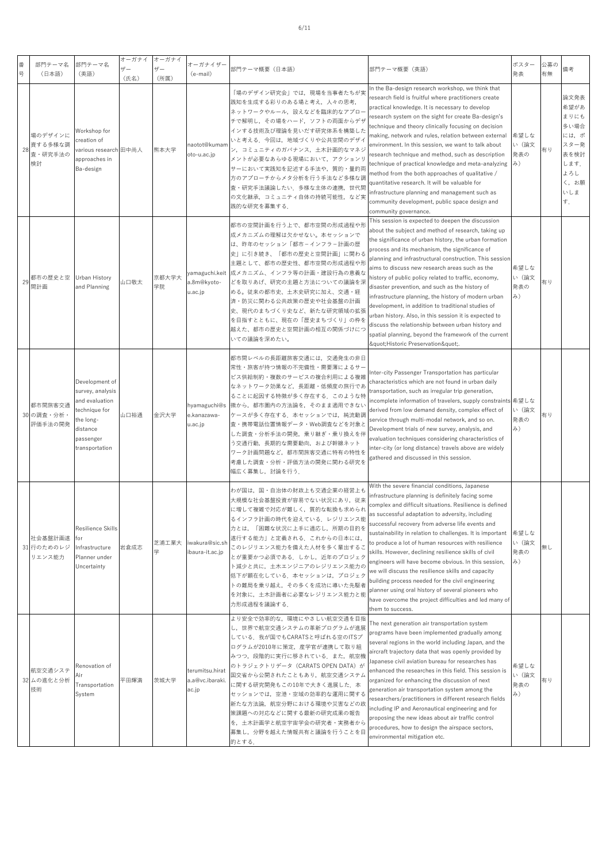| 番<br>号 |    | 部門テーマ名<br>(日本語)                     | 部門テーマ名<br>(英語)                                                                                                                | オーガナイ<br>$+$ $+$<br>(氏名) | オーガナイ<br>$+ -$<br>(所属) | オーガナイザー<br>(e-mail)                         | 部門テーマ概要 (日本語)                                                                                                                                                                                                                                                                                                                                                                                | 部門テーマ概要(英語)                                                                                                                                                                                                                                                                                                                                                                                                                                                                                                                                                                                                                                                                                                                                                    | ポスター<br>発表                 | 公募の<br>有無 | 備考                                                                                        |
|--------|----|-------------------------------------|-------------------------------------------------------------------------------------------------------------------------------|--------------------------|------------------------|---------------------------------------------|----------------------------------------------------------------------------------------------------------------------------------------------------------------------------------------------------------------------------------------------------------------------------------------------------------------------------------------------------------------------------------------------|----------------------------------------------------------------------------------------------------------------------------------------------------------------------------------------------------------------------------------------------------------------------------------------------------------------------------------------------------------------------------------------------------------------------------------------------------------------------------------------------------------------------------------------------------------------------------------------------------------------------------------------------------------------------------------------------------------------------------------------------------------------|----------------------------|-----------|-------------------------------------------------------------------------------------------|
|        | 28 | 場のデザインに<br>資する多様な調<br>査・研究手法の<br>検討 | Workshop for<br>creation of<br>various research 田中尚人<br>approaches in<br>Ba-design                                            |                          | 熊本大学                   | naotot@kuman<br>oto-u.ac.jp                 | 「場のデザイン研究会」では、現場を当事者たちが実<br>践知を生成する彩りのある場と考え,人々の思考,<br>ネットワークやルール,設えなどを臨床的なアプロ-<br>チで解明し、その場をハード、ソフトの両面からデザ<br>インする技術及び理論を見いだす研究体系を構築した<br>いと考える.今回は,地域づくりや公共空間のデザイ<br>ン、コミュニティのガバナンス、土木計画的なマネジ<br>メントが必要なあらゆる現場において、アクションリ<br>サーにおいて実践知を記述する手法や、質的・量的両<br>方のアプローチからメタ分析を行う手法など多様な調<br>査・研究手法議論したい.多様な主体の連携,世代間<br>の文化継承、コミュニティ自体の持続可能性、など実<br>践的な研究を募集する.                                   | In the Ba-design research workshop, we think that<br>research field is fruitful where practitioners create<br>practical knowledge. It is necessary to develop<br>research system on the sight for create Ba-design's<br>technique and theory clinically focusing on decision<br>naking, network and rules, relation between external<br>environment. In this session, we want to talk about<br>esearch technique and method, such as description<br>echnique of practical knowledge and meta-analyzing<br>method from the both approaches of qualitative /<br>quantitative research. It will be valuable for<br>nfrastructure planning and management such as<br>community development, public space design and<br>community governance.                       | 希望しな<br>い (論文<br>発表の<br>み) | 有り        | 論文発表<br>希望があ<br>まりにも<br>多い場合<br>には,ポ<br>スター発<br>表を検討<br>します.<br>よろし<br>く, お願<br>いしま<br>す. |
|        | 29 | 都市の歴史と空<br>間計画                      | Urban History<br>and Planning                                                                                                 | 山口敬太                     | 京都大学大<br>学院            | a.8m@kyoto-<br>u.ac.jp                      | 都市の空間計画を行う上で、都市空間の形成過程や形<br>成メカニズムの理解は欠かせない。本セッションで<br>は、昨年のセッション「都市-インフラ-計画の歴<br>史」に引き続き、「都市の歴史と空間計画」に関わる<br>主題として、都市の歴史性、都市空間の形成過程や形<br>ramaguchi.keit 成メカニズム、インフラ等の計画・建設行為の意義な<br>どを取りあげ、研究の主題と方法についての議論を深<br>める。従来の都市史、土木史研究に加え、交通・経<br>済・防災に関わる公共政策の歴史や社会基盤の計画<br>史、現代のまちづくり史など、新たな研究領域の拡張<br>を目指すとともに、現在の「歴史まちづくり」の枠を<br>越えた、都市の歴史と空間計画の相互の関係づけにつ<br>いての議論を深めたい。                       | This session is expected to deepen the discussion<br>about the subject and method of research, taking up<br>the significance of urban history, the urban formation<br>process and its mechanism, the significance of<br>planning and infrastructural construction. This session<br>aims to discuss new research areas such as the<br>istory of public policy related to traffic, economy,<br>disaster prevention, and such as the history of<br>nfrastructure planning, the history of modern urban<br>development, in addition to traditional studies of<br>urban history. Also, in this session it is expected to<br>discuss the relationship between urban history and<br>spatial planning, beyond the framework of the current<br>"Historic Preservation". | 希望しな<br>い (論文<br>発表の<br>み) | 有り        |                                                                                           |
|        |    | 都市間旅客交通<br>30の調査・分析・<br>評価手法の開発     | Development of<br>survey, analysis<br>and evaluation<br>technique for<br>the long-<br>distance<br>passenger<br>transportation | 山口裕通                     | 金沢大学                   | hyamaguchi@s<br>e.kanazawa-<br>u.ac.jp      | 都市間レベルの長距離旅客交通には,交通発生の非日<br>常性・旅客が持つ情報の不完備性・需要薄によるサー<br>ビス供給制約・複数のサービスの複合利用による複雑<br>なネットワーク効果など、長距離・低頻度の旅行であ<br>ることに起因する特徴が多く存在する。このような特<br>徴から、都市圏内の方法論を、そのまま適用できない<br>ケースが多く存在する. 本セッションでは、純流動調<br>査・携帯電話位置情報データ・Web調査などを対象と<br>した調査・分析手法の開発,乗り継ぎ・乗り換えを伴<br>う交通行動,長期的な需要動向,および幹線ネット<br>ワーク計画問題など、都市間旅客交通に特有の特性を<br>考慮した調査・分析・評価方法の開発に関わる研究を<br>幅広く募集し,討論を行う.                               | nter-city Passenger Transportation has particular<br>characteristics which are not found in urban daily<br>transportation, such as irregular trip generation,<br>ncomplete information of travelers, supply constraints 希望しな<br>derived from low demand density, complex effect of<br>service through multi-modal network, and so on.<br>Development trials of new survey, analysis, and<br>evaluation techniques considering characteristics of<br>nter-city (or long distance) travels above are widely<br>athered and discussed in this session.                                                                                                                                                                                                            | い (論文<br>発表の<br>み)         | 有り        |                                                                                           |
|        |    | 社会基盤計画遂<br>31 行のためのレジ<br>リエンス能力     | Resilience Skills<br>for<br>Infrastructure<br>Planner under<br>Uncertainty                                                    | 岩倉成志                     | 芝浦工業大<br>学             | iwakura@sic.sł<br>ibaura-it.ac.jp           | わが国は,国・自治体の財政上も交通企業の経営上も<br>大規模な社会基盤投資が容易でない状況にあり、従来<br>に増して複雑で対応が難しく、質的な転換も求められ<br>るインフラ計画の時代を迎えている。レジリエンス能<br> 力とは、「困難な状況に上手に適応し、所期の目的を<br>遂行する能力」と定義される.これからの日本には,<br>このレジリエンス能力を備えた人材を多く輩出するこ<br>とが重要かつ必須である。しかし、近年のプロジェク<br>ト減少と共に、土木エンジニアのレジリエンス能力の<br>低下が顕在化している. 本セッションは、プロジェク<br>トの難局を乗り越え,その多くを成功に導いた先駆者<br>を対象に、土木計画者に必要なレジリエンス能力と能<br>力形成過程を議論する.                                | With the severe financial conditions, Japanese<br>nfrastructure planning is definitely facing some<br>complex and difficult situations. Resilience is defined<br>as successful adaptation to adversity, including<br>successful recovery from adverse life events and<br>sustainability in relation to challenges. It is important<br>to produce a lot of human resources with resilience<br>skills. However, declining resilience skills of civil<br>engineers will have become obvious. In this session,<br>we will discuss the resilience skills and capacity<br>building process needed for the civil engineering<br>planner using oral history of several pioneers who<br>have overcome the project difficulties and led many of<br>them to success.      | 希望しな<br>い (論文<br>発表の<br>み) | 無し        |                                                                                           |
|        |    | 航空交通システ<br>32 ムの進化と分析<br>技術         | Renovation of<br>Air<br>Transportation<br>System                                                                              | 平田輝満                     | 茨城大学                   | terumitsu.hirat<br>a.a@vc.ibaraki.<br>ac.jp | より安全で効率的な、環境にやさしい航空交通を目指<br>し、世界で航空交通システムの革新プログラムが進展<br>している。我が国でもCARATSと呼ばれる空のITSプ<br>ログラムが2010年に策定,産学官が連携して取り組<br>みつつ、段階的に実行に移されている。また、航空機<br>のトラジェクトリデータ(CARATS OPEN DATA)が<br>国交省から公開されたこともあり、航空交通システム<br>に関する研究開発もこの10年で大きく進展した. 本<br>セッションでは、空港・空域の効率的な運用に関する<br> 新たな方法論,航空分野における環境や災害などの政<br>策課題への対応などに関する最新の研究成果の報告<br>を,土木計画学と航空宇宙学会の研究者・実務者から<br>募集し、分野を越えた情報共有と議論を行うことを目<br>的とする. | The next generation air transportation system<br>programs have been implemented gradually among<br>several regions in the world including Japan, and the<br>aircraft trajectory data that was openly provided by<br>lapanese civil aviation bureau for researches has<br>enhanced the researches in this field. This session is<br>organized for enhancing the discussion of next<br>generation air transportation system among the<br>esearchers/practitioners in different research fields<br>ncluding IP and Aeronautical engineering and for<br>proposing the new ideas about air traffic control<br>procedures, how to design the airspace sectors,<br>environmental mitigation etc.                                                                      | 希望しな<br>い (論文<br>発表の<br>み) | 有り        |                                                                                           |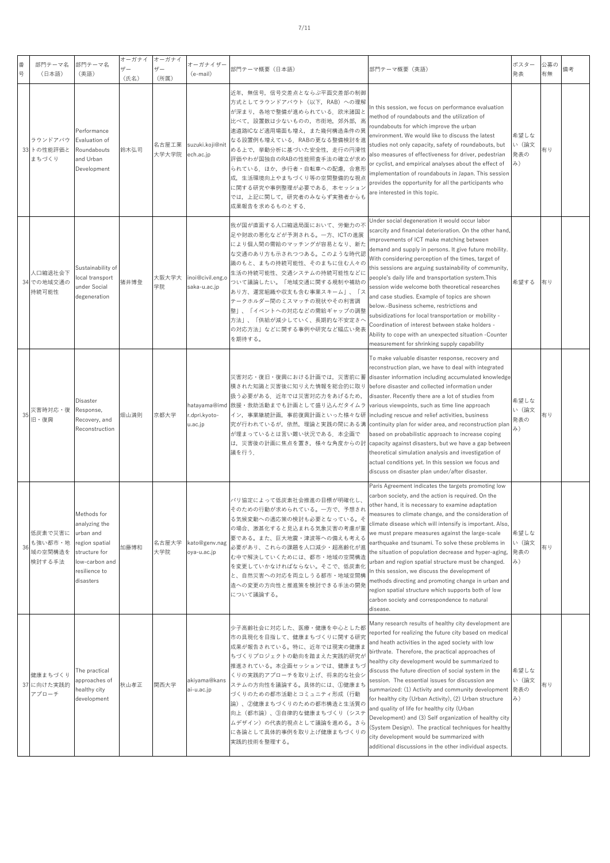| 番<br>号 | 部門テーマ名<br>(日本語)                         | 部門テーマ名<br>(英語)                                                                                                               | オーガナイ<br>ザー<br>(氏名) | オーガナイ<br>ザー<br>(所属) | オーガナイザー<br>(e-mail)                     | 部門テーマ概要(日本語)                                                                                                                                                                                                                                                                                                                                                        | 部門テーマ概要(英語)                                                                                                                                                                                                                                                                                                                                                                                                                                                                                                                                                                                                                                                                                                                                                                         | ポスター<br>発表                 | 公募の<br>有無 | 備考 |
|--------|-----------------------------------------|------------------------------------------------------------------------------------------------------------------------------|---------------------|---------------------|-----------------------------------------|---------------------------------------------------------------------------------------------------------------------------------------------------------------------------------------------------------------------------------------------------------------------------------------------------------------------------------------------------------------------|-------------------------------------------------------------------------------------------------------------------------------------------------------------------------------------------------------------------------------------------------------------------------------------------------------------------------------------------------------------------------------------------------------------------------------------------------------------------------------------------------------------------------------------------------------------------------------------------------------------------------------------------------------------------------------------------------------------------------------------------------------------------------------------|----------------------------|-----------|----|
|        | ラウンドアバウ<br>33 トの性能評価と<br>まちづくり          | Performance<br>Evaluation of<br>Roundabouts<br>and Urban<br>Development                                                      | 鈴木弘司                | 名古屋工業<br>大学大学院      | suzuki.koji@nit<br>ech.ac.jp            | 近年,無信号,信号交差点とならぶ平面交差部の制御<br>方式としてラウンドアバウト(以下,RAB)への理解<br>が深まり、各地で整備が進められている。欧米諸国と<br>比べて,設置数は少ないものの,市街地,郊外部,高<br>速道路ICなど適用場面も増え,また幾何構造条件の異<br>なる設置例も増えている.RABの更なる整備検討を進<br>める上で、挙動分析に基づいた安全性、走行の円滑性<br>評価やわが国独自のRABの性能照査手法の確立が求め<br>られている.ほか,歩行者・自転車への配慮,合意形<br>成,生活環境向上やまちづくり等の空間整備的な視点<br>に関する研究や事例整理が必要である. 本セッション<br>では,上記に関して,研究者のみならず実務者からも<br>成果報告を求めるものとする. | n this session, we focus on performance evaluation<br>method of roundabouts and the utilization of<br>roundabouts for which improve the urban<br>environment. We would like to discuss the latest<br>studies not only capacity, safety of roundabouts, but<br>also measures of effectiveness for driver, pedestrian<br>or cyclist, and empirical analyses about the effect of<br>mplementation of roundabouts in Japan. This session<br>provides the opportunity for all the participants who<br>are interested in this topic.                                                                                                                                                                                                                                                      | 希望しな<br>い (論文<br>発表の<br>み) | 有り        |    |
|        | 人口縮退社会下<br>34 での地域交通の<br>持続可能性          | Sustainability of<br>local transport<br>under Social<br>degeneration                                                         | 猪井博登                | 大阪大学大<br>学院         | inoi@civil.eng.o<br>saka-u.ac.jp        | 我が国が直面する人口縮退局面において、労働力の不<br>足や財政の悪化などが予測される。一方、ICTの進展<br>により個人間の需給のマッチングが容易となり、新た<br>な交通のあり方も示されつつある。このような時代認<br>識のもと、まちの持続可能性、そのまちに住む人々の<br>生活の持続可能性、交通システムの持続可能性などに<br>ついて議論したい。「地域交通に関する規制や補助の<br>あり方、運営組織や収支も含む事業スキーム」、「ス<br>テークホルダー間のミスマッチの現状やその利害調<br>整」、「イベントへの対応などの需給ギャップの調整<br>方法」、「供給が減少していく、長期的な不安定さへ<br>の対応方法」などに関する事例や研究など幅広い発表<br>を期待する。              | Under social degeneration it would occur labor<br>scarcity and financial deterioration. On the other hand,<br>improvements of ICT make matching between<br>demand and supply in persons. It give future mobility.<br>With considering perception of the times, target of<br>this sessions are arguing sustainability of community,<br>people's daily life and transportation system. This<br>session wide welcome both theoretical researches<br>and case studies. Example of topics are shown<br>below.-Business scheme, restrictions and<br>subsidizations for local transportation or mobility -<br>Coordination of interest between stake holders -<br>Ability to cope with an unexpected situation -Counter<br>measurement for shrinking supply capability                     | 希望する                       | 有り        |    |
| 35     | 災害時対応・復<br>旧・復興                         | Disaster<br>Response,<br>Recovery, and<br>Reconstruction                                                                     | 畑山満則                | 京都大学                | hatayama@imd<br>-dpri.kyoto.<br>u.ac.jp | 災害対応・復旧・復興における計画では、災害前に蓄<br>積された知識と災害後に知りえた情報を総合的に取り<br>扱う必要がある。近年では災害対応力をあげるため、<br>教援・救助活動までも計画として盛り込んだタイムラ<br>イン,事業継続計画,事前復興計画といった様々な研<br>究が行われているが、依然、理論と実践の間にある溝<br>が埋まっているとは言い難い状況である.本企画で<br>は、災害後の計画に焦点を置き、様々な角度からの討<br>議を行う.                                                                                                                                | To make valuable disaster response, recovery and<br>reconstruction plan, we have to deal with integrated<br>disaster information including accumulated knowledge<br>before disaster and collected information under<br>disaster. Recently there are a lot of studies from<br>various viewpoints, such as time line approach<br>including rescue and relief activities, business<br>continuity plan for wider area, and reconstruction plar<br>based on probabilistic approach to increase coping<br>capacity against disasters, but we have a gap between<br>theoretical simulation analysis and investigation of<br>actual conditions yet. In this session we focus and<br>discuss on disaster plan under/after disaster.                                                          | 希望しな<br>い (論文<br>発表の<br>み) | 有り        |    |
| 36     | 低炭素で災害に<br>も強い都市・地<br>域の空間構造を<br>検討する手法 | Methods for<br>analyzing the<br>urban and<br>region spatial<br>structure for<br>low-carbon and<br>resilience to<br>disasters | 加藤博和                | 名古屋大学<br>大学院        | kato@genv.nag<br>oya-u.ac.jp            | パリ協定によって低炭素社会推進の目標が明確化し、<br>そのための行動が求められている。一方で、予想され<br>る気候変動への適応策の検討も必要となっている。そ<br>の場合、激甚化すると見込まれる気象災害の考慮が重<br>要である。また、巨大地震・津波等への備えも考える<br>必要があり、これらの課題を人口減少・超高齢化が進<br>む中で解決していくためには、都市・地域の空間構造<br>を変更していかなければならない。そこで、低炭素化<br>と、自然災害への対応を両立しうる都市・地域空間構<br>造への変更の方向性と推進策を検討できる手法の開発<br>について議論する。                                                                   | Paris Agreement indicates the targets promoting low<br>carbon society, and the action is required. On the<br>other hand, it is necessary to examine adaptation<br>measures to climate change, and the consideration of<br>climate disease which will intensify is important. Also,<br>we must prepare measures against the large-scale<br>earthquake and tsunami. To solve these problems in<br>the situation of population decrease and hyper-aging,<br>urban and region spatial structure must be changed.<br>n this session, we discuss the development of<br>methods directing and promoting change in urban and<br>region spatial structure which supports both of low<br>carbon society and correspondence to natural<br>disease.                                             | 希望しな<br>い (論文<br>発表の<br>み) | 有り        |    |
|        | 健康まちづくり<br>37 に向けた実践的<br>アプローチ          | The practical<br>approaches of<br>healthy city<br>development                                                                | 秋山孝正                | 関西大学                | akiyama@kans<br>ai-u.ac.jp              | 少子高齢社会に対応した、医療・健康を中心とした都<br>市の具現化を目指して、健康まちづくりに関する研究<br>成果が報告されている。特に、近年では現実の健康ま<br>ちづくりプロジェクトの動向を踏まえた実践的研究が<br>推進されている。本企画セッションでは、健康まちづ<br>くりの実践的アプローチを取り上げ、将来的な社会シ<br>ステムの方向性を議論する。具体的には、①健康まち<br>づくりのための都市活動とコミュニティ形成(行動<br>論)、②健康まちづくりのための都市構造と生活質の<br>向上(都市論)、③自律的な健康まちづくり(システ<br>ムデザイン)の代表的視点として議論を進める。さら<br>に各論として具体的事例を取り上げ健康まちづくりの<br>実践的技術を整理する。          | Many research results of healthy city development are<br>reported for realizing the future city based on medical<br>and heath activities in the aged society with low<br>birthrate. Therefore, the practical approaches of<br>healthy city development would be summarized to<br>discuss the future direction of social system in the<br>session. The essential issues for discussion are<br>summarized: (1) Activity and community development<br>for healthy city (Urban Activity), (2) Urban structure<br>and quality of life for healthy city (Urban<br>Development) and (3) Self organization of healthy city<br>(System Design). The practical techniques for healthy<br>city development would be summarized with<br>additional discussions in the other individual aspects. | 希望しな<br>い (論文<br>発表の<br>み) | 有り        |    |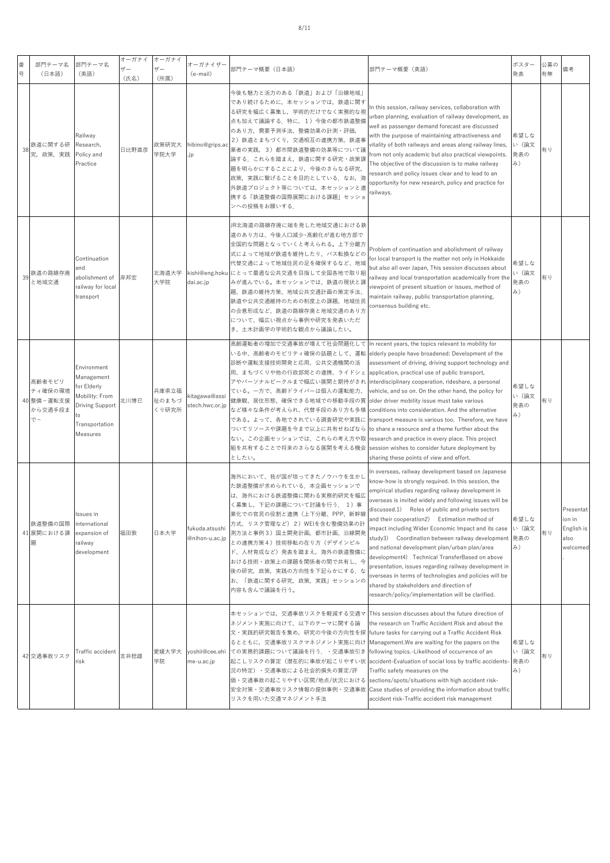| 番<br>뮹 | 部門テーマ名<br>(日本語)                                  | 部門テーマ名<br>(英語)                                                                                             | オーガナイ<br>$+$ f $-$<br>(氏名) | オーガナイ<br>ザー<br>(所属)     | オーガナイザー<br>(e-mail)              | 部門テーマ概要(日本語)                                                                                                                                                                                                                                                                                                                                                                                                                                                 | 部門テーマ概要(英語)                                                                                                                                                                                                                                                                                                                                                                                                                                                                                                                                                                                                                                                                                                                                                        | ポスター<br>発表                 | 公募の<br>有無 | 備考                                                    |
|--------|--------------------------------------------------|------------------------------------------------------------------------------------------------------------|----------------------------|-------------------------|----------------------------------|--------------------------------------------------------------------------------------------------------------------------------------------------------------------------------------------------------------------------------------------------------------------------------------------------------------------------------------------------------------------------------------------------------------------------------------------------------------|--------------------------------------------------------------------------------------------------------------------------------------------------------------------------------------------------------------------------------------------------------------------------------------------------------------------------------------------------------------------------------------------------------------------------------------------------------------------------------------------------------------------------------------------------------------------------------------------------------------------------------------------------------------------------------------------------------------------------------------------------------------------|----------------------------|-----------|-------------------------------------------------------|
| 38     | 鉄道に関する研<br>究,政策,実践                               | Railway<br>Research,<br>Policy and<br>Practice                                                             | 日比野直彦                      | 政策研究大<br>学院大学           | hibino@grips.ac<br>.jp           | 今後も魅力と活力のある「鉄道」および「沿線地域」<br>であり続けるために,本セッションでは,鉄道に関す<br>る研究を幅広く募集し、学術的だけでなく実務的な視<br>点も加えて議論する. 特に, 1) 今後の都市鉄道整備<br>のあり方,需要予測手法,整備効果の計測・評価,<br>2) 鉄道とまちづくり, 交通相互の連携方策, 鉄道事<br>業者の実践, 3)都市間鉄道整備の効果等について諺<br>論する。これらを踏まえ、鉄道に関する研究・政策課<br>題を明らかにすることにより、今後のさらなる研究,<br>政策、実践に繋げることを目的としている。なお、海<br>外鉄道プロジェクト等については、本セッションと連<br>携する「鉄道整備の国際展開における課題」セッショ<br>ンへの投稿をお願いする.                                                                                           | n this session, railway services, collaboration with<br>urban planning, evaluation of railway development, as<br>well as passenger demand forecast are discussed<br>with the purpose of maintaining attractiveness and<br>vitality of both railways and areas along railway lines,<br>from not only academic but also practical viewpoints.<br>The objective of the discussion is to make railway<br>research and policy issues clear and to lead to an<br>opportunity for new research, policy and practice for<br>railways.                                                                                                                                                                                                                                      | 希望しな<br>い (論文<br>発表の<br>み) | 有り        |                                                       |
| 39     | 鉄道の路線存廃<br>と地域交通                                 | Continuation<br>and<br>abolishment of<br>railway for local<br>transport                                    | 岸邦宏                        | 北海道大学<br>大学院            | dai.ac.jp                        | JR北海道の路線存廃に端を発した地域交通における鉄<br>道のあり方は、今後人口減少・高齢化が進む地方部で<br>全国的な問題となっていくと考えられる。上下分離方<br>式によって地域が鉄道を維持したり、バス転換などの<br>代替交通によって地域住民の足を確保するなど、地域<br>kishi@eng.hoku にとって最適な公共交通を目指して全国各地で取り組<br>みが進んでいる。本セッションでは、鉄道の現状と誤<br>題、鉄道の維持方策、地域公共交通計画の策定手法、<br>鉄道や公共交通維持のための制度上の課題、地域住民<br>の合意形成など、鉄道の路線存廃と地域交通のあり方<br>について、幅広い視点から事例や研究を発表いただ<br>き、土木計画学の学術的な観点から議論したい。                                                                                                    | Problem of continuation and abolishment of railway<br>for local transport is the matter not only in Hokkaido<br>but also all over Japan, This session discusses about<br>railway and local transportation academically from the<br>viewpoint of present situation or issues, method of<br>maintain railway, public transportation planning,<br>consensus building etc.                                                                                                                                                                                                                                                                                                                                                                                             | 希望しな<br>い (論文<br>発表の<br>み) | 有り        |                                                       |
|        | 高齢者モビリ<br>ティ確保の環境<br>40 整備-運転支援<br>から交通手段ま<br>でー | Environment<br>Management<br>or Elderly<br>Mobility: From<br>Driving Support<br>Transportation<br>Measures | 化川博巳                       | 兵庫県立福<br>祉のまちづ<br>くり研究所 | kitagawa@assi<br>stech.hwc.or.jp | 高齢運転者の増加で交通事故が増えて社会問題化して In recent years, the topics relevant to mobility for<br>いる中、高齢者のモビリティ確保の話題として、運転<br>診断や運転支援技術開発と応用、公共交通機関の活<br>用、まちづくりや他の行政部局との連携、ライドシェ<br>アやパーソナルビークルまで幅広い展開と期待がされ<br>ている。一方で、高齢ドライバーは個人の運転能力、<br>健康観、居住形態、確保できる地域での移動手段の質  older driver mobility issue must take various<br>など様々な条件が考えられ、代替手段のあり方も多様  <br>である。よって、各地でされている調査研究や実践に<br>ついてリソースや課題を今まで以上に共有せねばなら<br>ない。この企画セッションでは、これらの考え方や取<br>組を共有することで将来のさらなる展開を考える機会  <br>としたい。 | elderly people have broadened: Development of the<br>assessment of driving, driving support technology and<br>application, practical use of public transport,<br>interdisciplinary cooperation, rideshare, a personal<br>vehicle, and so on. On the other hand, the policy for<br>conditions into consideration. And the alternative<br>transport measure is various too. Therefore, we have<br>to share a resource and a theme further about the<br>research and practice in every place. This project<br>session wishes to consider future deployment by<br>sharing these points of view and effort.                                                                                                                                                             | 希望しな<br>い (論文<br>発表の<br>み) | 有り        |                                                       |
|        | 鉄道整備の国際<br>41 展開における課<br>題                       | ssues in<br>international<br>expansion of<br>railway<br>development                                        | 福田敦                        | 日本大学                    | fukuda.atsushi<br>@nihon-u.ac.jp | 海外において、我が国が培ってきたノウハウを生かし<br>た鉄道整備が求められている.本企画セッションで<br>は、海外における鉄道整備に関わる実務的研究を幅広<br>く募集し、下記の課題について討議を行う. 1)事<br>業化での官民の役割と連携(上下分離、PPP、新幹線<br>方式、リスク管理など)2)WEIを含む整備効果の計<br>測方法と事例3)国土開発計画,都市計画、沿線開発<br>との連携方策4)技術移転の在り方(デザインビル<br>ド、人材育成など)発表を踏まえ,海外の鉄道整備に<br>おける技術・政策上の課題を関係者の間で共有し、今<br>後の研究,政策,実践の方向性を下記らかにする.な<br>お、「鉄道に関する研究,政策,実践」セッションの<br>内容も含んで議論を行う。                                                                                                 | In overseas, railway development based on Japanese<br>know-how is strongly required. In this session, the<br>empirical studies regarding railway development in<br>overseas is invited widely and following issues will be<br>discussed.1) Roles of public and private sectors<br>and their cooperation2) Estimation method of<br>mpact including Wider Economic Impact and its case<br>study3) Coordination between railway development 発表の<br>and national development plan/urban plan/area<br>development4) Technical TransferBased on above<br>presentation, issues regarding railway development in<br>overseas in terms of technologies and policies will be<br>shared by stakeholders and direction of<br>research/policy/implementation will be clarified. | 希望しな<br>い (論文<br>み)        | 有り        | Presentat<br>ion in<br>English is<br>also<br>welcomed |
|        |                                                  |                                                                                                            |                            |                         |                                  | 本セッションでは,交通事故リスクを軽減する交通マ This session discusses about the future direction of<br>ネジメント実施に向けて,以下のテーマに関する論  the research on Traffic Accident Risk and about the                                                                                                                                                                                                                                                                                                |                                                                                                                                                                                                                                                                                                                                                                                                                                                                                                                                                                                                                                                                                                                                                                    |                            |           |                                                       |

yoshii@cee.ehi ての実務的課題について議論を⾏う.・交通事故引き following topics.-Likelihood of occurrence of an

るとともに,交通事故リスクマネジメント実施に向け Management.We are waiting for the papers on the

future tasks for carrying out a Traffic Accident Risk

sections/spots/situations with high accident risk-Case studies of providing the information about traffic accident risk-Traffic accident risk management

Traffic safety measures on the

accident-Evaluation of social loss by traffic accidents-発表の

希望しな い(論⽂ み)

有り

文・実践的研究報告を集め、研究の今後の方向性を探

起こしリスクの算定(潜在的に事故が起こりやすい状 況の特定)・交通事故による社会的損失の算定/評 価・交通事故の起こりやすい区間/地点/状況における 安全対策・交通事故リスク情報の提供事例・交通事故

リスクを用いた交通マネジメント手法

42 交通事故リスク Traf

Traffic accident 吉井稔雄 愛媛大学大

学院

me-u.ac.jp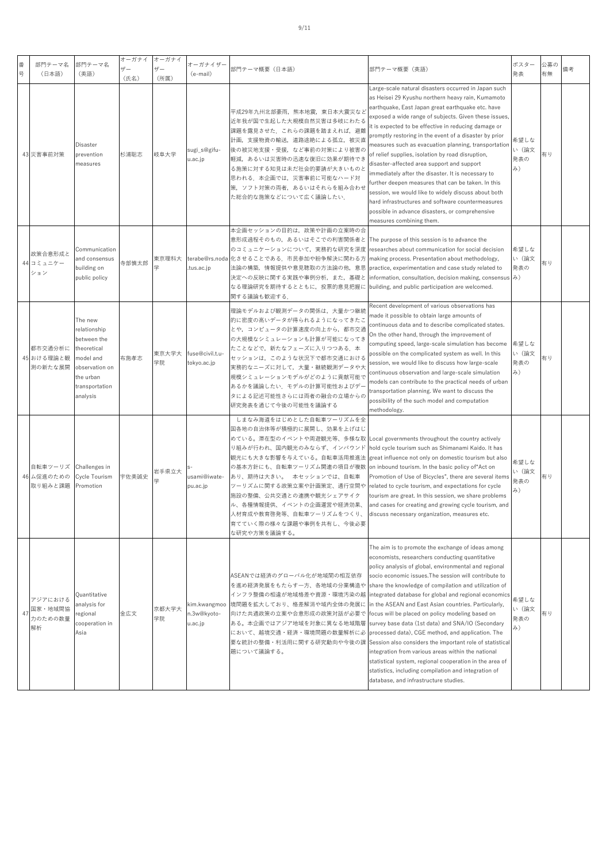| 番<br>号 | 部門テーマ名<br>(日本語)                                | 部門テーマ名<br>(英語)                                                                                                                  | オーガナイ<br>ザー<br>(氏名) | オーガナイ<br>ザー<br>(所属) | オーガナイザー<br>(e-mail)                    | 部門テーマ概要(日本語)                                                                                                                                                                                                                                                                                                                                                                                                                                                  | 部門テーマ概要(英語)                                                                                                                                                                                                                                                                                                                                                                                                                                                                                                                                                                                                                                                                                                                                                                                                                                                           | ポスター<br>発表                 | 公募の<br>有無 | 備考 |
|--------|------------------------------------------------|---------------------------------------------------------------------------------------------------------------------------------|---------------------|---------------------|----------------------------------------|---------------------------------------------------------------------------------------------------------------------------------------------------------------------------------------------------------------------------------------------------------------------------------------------------------------------------------------------------------------------------------------------------------------------------------------------------------------|-----------------------------------------------------------------------------------------------------------------------------------------------------------------------------------------------------------------------------------------------------------------------------------------------------------------------------------------------------------------------------------------------------------------------------------------------------------------------------------------------------------------------------------------------------------------------------------------------------------------------------------------------------------------------------------------------------------------------------------------------------------------------------------------------------------------------------------------------------------------------|----------------------------|-----------|----|
|        | 43 災害事前対策                                      | Disaster<br>prevention<br>measures                                                                                              | 杉浦聡志                | 岐阜大学                | sugi_s@gifu-<br>u.ac.jp                | 平成29年九州北部豪雨,熊本地震,東日本大震災なと<br>近年我が国で生起した大規模自然災害は多岐にわたる<br>課題を露見させた.これらの課題を踏まえれば,避難<br>計画,支援物資の輸送,道路途絶による孤立,被災直<br>後の被災地支援・受援,など事前の対策により被害の<br>軽減、あるいは災害時の迅速な復旧に効果が期待でき<br>る施策に対する知見は未だ社会的要請が大きいものと<br>思われる。本企画では、災害事前に可能なハード対<br>策,ソフト対策の両者,あるいはそれらを組み合わせ<br>た総合的な施策などについて広く議論したい.                                                                                                                                                                             | Large-scale natural disasters occurred in Japan such<br>as Heisei 29 Kyushu northern heavy rain, Kumamoto<br>earthquake, East Japan great earthquake etc. have<br>exposed a wide range of subjects. Given these issues,<br>it is expected to be effective in reducing damage or<br>promptly restoring in the event of a disaster by prior<br>measures such as evacuation planning, transportation<br>of relief supplies, isolation by road disruption,<br>disaster-affected area support and support<br>immediately after the disaster. It is necessary to<br>further deepen measures that can be taken. In this<br>session, we would like to widely discuss about both<br>hard infrastructures and software countermeasures<br>possible in advance disasters, or comprehensive<br>measures combining them.                                                           | 希望しな<br>い (論文<br>発表の<br>み) | 有り        |    |
|        | 政策合意形成と<br>44 コミュニケー<br>ション                    | Communication<br>and consensus<br>building on<br>public policy                                                                  | 寺部慎太郎               | 東京理科大<br>学          | .tus.ac.jp                             | 本企画セッションの目的は、政策や計画の立案時の合<br>意形成過程そのもの,あるいはそこでの利害関係者と  The purpose of this session is to advance the<br>のコミュニケーションについて,実務的な研究を深度  researches about communication for social decision<br>terabe@rs.noda 化させることである. 市民参加や紛争解決に関わる方 making process. Presentation about methodology,<br>法論の構築,情報提供や意見聴取の方法論の他,意思  practice, experimentation and case study related to<br>なる理論研究を期待するとともに,投票的意見把握に  building, and public participation are welcomed.<br>関する議論も歓迎する. | 決定への反映に関する実践や事例分析,また,基礎と  information, consultation, decision making, consensus   み)                                                                                                                                                                                                                                                                                                                                                                                                                                                                                                                                                                                                                                                                                                                                                                                  | 希望しな<br>い (論文<br>発表の       | 有り        |    |
|        | 都市交通分析に<br>45 おける理論と観<br>測の新たな展開               | The new<br>relationship<br>between the<br>theoretical<br>model and<br>observation on<br>the urban<br>transportation<br>analysis | 布施孝志                | 東京大学大<br>学院         | fuse@civil.t.u-<br>tokyo.ac.jp         | 理論モデルおよび観測データの関係は、大量かつ継続<br>的に密度の高いデータが得られるようになってきたこ<br>とや、コンピュータの計算速度の向上から、都市交通<br>の大規模なシミュレーションも計算が可能になってき<br>たことなどで,新たなフェーズに入りつつある.本<br>セッションは,このような状況下で都市交通における<br>実務的なニーズに対して、大量・継続観測データや大<br>規模シミュレーションモデルがどのように貢献可能で<br>あるかを議論したい、モデルの計算可能性およびデー<br>タによる記述可能性さらには両者の融合の立場からの<br>研究発表を通じて今後の可能性を議論する                                                                                                                                                    | Recent development of various observations has<br>made it possible to obtain large amounts of<br>continuous data and to describe complicated states.<br>On the other hand, through the improvement of<br>computing speed, large-scale simulation has become<br>possible on the complicated system as well. In this<br>session, we would like to discuss how large-scale<br>continuous observation and large-scale simulation<br>models can contribute to the practical needs of urban<br>transportation planning. We want to discuss the<br>possibility of the such model and computation<br>methodology.                                                                                                                                                                                                                                                             | 希望しな<br>い (論文<br>発表の<br>み) | 有り        |    |
|        | 自転車ツーリズ Challenges in<br>46 ム促進のための<br>取り組みと課題 | Cycle Tourism<br>Promotion                                                                                                      | 宇佐美誠史               | 岩手県立大               | usami@iwate-<br>pu.ac.jp               | しまなみ海道をはじめとした自転車ツーリズムを全<br>国各地の自治体等が積極的に展開し、効果を上げはじ<br>めている。滞在型のイベントや周遊観光等、多様な取  Local governments throughout the country actively<br>り組みが行われ、国内観光のみならず、インバウンド<br>観光にも大きな影響を与えている。自転車活用推進法<br>の基本方針にも、自転車ツーリズム関連の項目が複数<br>あり、期待は大きい。 本セッションでは、自転車<br>ツーリズムに関する政策立案や計画策定、通行空間や<br>施設の整備、公共交通との連携や観光シェアサイク<br>ル、各種情報提供、イベントの企画運営や経済効果、<br>人材育成や教育啓発等、自転車ツーリズムをつくり、<br>育てていく際の様々な課題や事例を共有し、今後必要<br>な研究や方策を議論する。                                                  | hold cycle tourism such as Shimanami Kaido. It has<br>great influence not only on domestic tourism but also<br>on inbound tourism. In the basic policy of Act on<br>Promotion of Use of Bicycles", there are several items<br>related to cycle tourism, and expectations for cycle<br>tourism are great. In this session, we share problems<br>and cases for creating and growing cycle tourism, and<br>discuss necessary organization, measures etc.                                                                                                                                                                                                                                                                                                                                                                                                                 | 希望しな<br>い (論文<br>発表の<br>み) | 有り        |    |
|        | アジアにおける<br>国家・地域間協<br>力のための数量<br>解析            | Quantitative<br>analysis for<br>regional<br>cooperation in<br>Asia                                                              | 金広文                 | 京都大学大<br>学院         | kim.kwangmoo<br>n.3w@kyoto-<br>u.ac.jp | ASEANでは経済のグローバル化が地域間の相互依存<br>を進め経済発展をもたらす一方、各地域の分業構造や<br>インフラ整備の相違が地域格差や資源・環境汚染の越<br>境問題を拡大しており、格差解消や域内全体の発展に<br>向けた共通政策の立案や合意形成の政策対話が必要で<br>ある。本企画ではアジア地域を対象に異なる地域階層<br>において、越境交通・経済・環境問題の数量解析に必<br>題について議論する。                                                                                                                                                                                                                                               | The aim is to promote the exchange of ideas among<br>economists, researchers conducting quantitative<br>policy analysis of global, environmental and regional<br>socio economic issues. The session will contribute to<br>share the knowledge of compilation and utilization of<br>integrated database for global and regional economics<br>in the ASEAN and East Asian countries. Particularly,<br>focus will be placed on policy modeling based on<br>survey base data (1st data) and SNA/IO (Secondary<br>processed data), CGE method, and application. The<br>要な統計の整備・利活用に関する研究動向や今後の課 Session also considers the important role of statistical<br>integration from various areas within the national<br>statistical system, regional cooperation in the area of<br>statistics, including compilation and integration of<br>database, and infrastructure studies. | 希望しな<br>い (論文<br>発表の<br>み) | 有り        |    |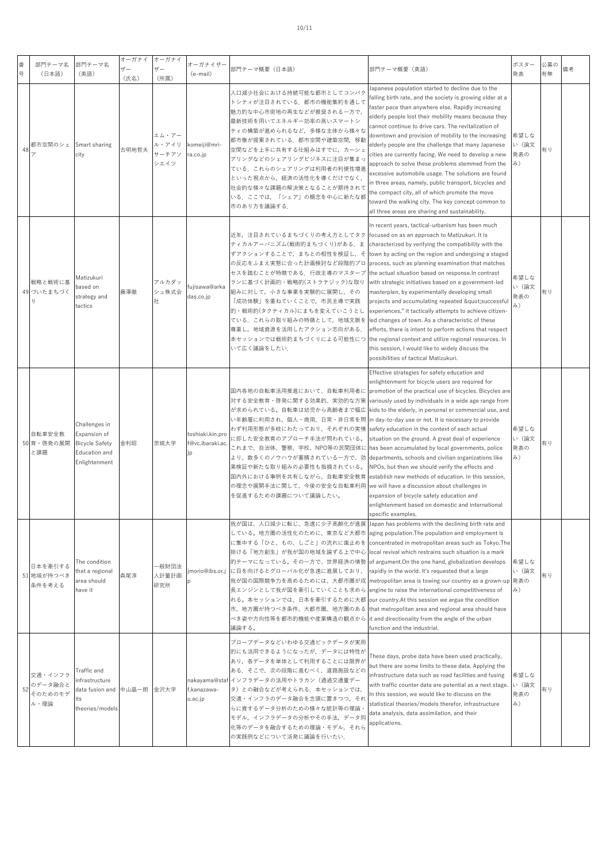## 10/11

| 番<br>号 | 部門テーマ名<br>(日本語)                       | 部門テーマ名<br>(英語)                                                                           | オーガナイ<br>$H -$<br>(氏名) | オーガナイ<br>ザー<br>(所属)             | オーガナイザー<br>(e-mail)                        | 部門テーマ概要 (日本語)                                                                                                                                                                                                                                                                                                                                                                                                                          | 部門テーマ概要(英語)                                                                                                                                                                                                                                                                                                                                                                                                                                                                                                                                                                                                                                                                                                                                                                                     | ポスター<br>発表                 | 公募の<br>有無 | 備考 |
|--------|---------------------------------------|------------------------------------------------------------------------------------------|------------------------|---------------------------------|--------------------------------------------|----------------------------------------------------------------------------------------------------------------------------------------------------------------------------------------------------------------------------------------------------------------------------------------------------------------------------------------------------------------------------------------------------------------------------------------|-------------------------------------------------------------------------------------------------------------------------------------------------------------------------------------------------------------------------------------------------------------------------------------------------------------------------------------------------------------------------------------------------------------------------------------------------------------------------------------------------------------------------------------------------------------------------------------------------------------------------------------------------------------------------------------------------------------------------------------------------------------------------------------------------|----------------------------|-----------|----|
| 48     | 都市空間のシェ                               | Smart sharing<br>city                                                                    | 古明地哲夫                  | エム・アー<br>ル・アイリ<br>サーチアソ<br>シエイツ | komeiji@mri-<br>ra.co.jp                   | 人口減少社会における持続可能な都市としてコンパク<br>トシティが注目されている.都市の機能集約を通して<br>魅力的な中心市街地の再生などが推奨される一方で,<br>最新技術を用いてエネルギー効率の高いスマートシ<br>ティの構築が進められるなど,多様な主体から様々な<br>都市像が提案されている.都市空間や建築空間,移動<br>空間などを上手に共有する仕組みはすでに、カーシェ<br>アリングなどのシェアリングビジネスに注目が集まっ<br>ている。これらのシェアリングは利用者の利便性増進<br>といった視点から、経済の活性化を導くだけでなく、<br>社会的な様々な課題の解決策となることが期待されて<br>いる.ここでは,「シェア」の概念を中心に新たな都<br>市のあり方を議論する                                                                              | Japanese population started to decline due to the<br>falling birth rate, and the society is growing older at a<br>faster pace than anywhere else. Rapidly increasing<br>elderly people lost their mobility means because they<br>cannot continue to drive cars. The revitalization of<br>downtown and provision of mobility to the increasing<br>elderly people are the challenge that many Japanese<br>cities are currently facing. We need to develop a new<br>approach to solve these problems stemmed from the<br>excessive automobile usage. The solutions are found<br>in three areas, namely, public transport, bicycles and<br>the compact city, all of which promote the move<br>toward the walking city. The key concept common to<br>all three areas are sharing and sustainability. | 希望しな<br>い (論文<br>発表の<br>み) | 有り        |    |
|        | 戦略と戦術に基<br>49 づいたまちづく<br>ij           | Matizukuri<br>based on<br>strategy and<br>tactics                                        | 藤澤徹                    | アルカダッ<br>シュ株式会<br>社             | fujisawa@arka<br>das.co.jp                 | 近年、注目されているまちづくりの考え方としてタク<br>ティカルアーバニズム(戦術的まちづくり)がある.ま<br>ずアクションすることで、まちとの相性を検証し、そ<br>セスを踏むことが特徴である.行政主導のマスタープ  the actual situation based on response.In contrast<br>ランに基づく計画的・戦略的(ストラテジック)な取り<br>組みに対して、小さな事業を実験的に展開し、その<br>「成功体験」を重ねていくことで、市民主導で実践<br>的・戦術的(タクティカル)にまちを変えていこうとし<br>ている、これらの取り組みの特徴として、地域文脈を led changes of town. As a characteristic of these<br>尊重し,地域資源を活用したアクション志向がある.<br>いて広く議論をしたい.                             | In recent years, tactical-urbanism has been much<br>focused on as an approach to Matizukuri. It is<br>characterized by verifying the compatibility with the<br>town by acting on the region and undergoing a staged<br>の反応をふまえ実態に合った計画検討など段階的プロ  process, such as planning examination that matches<br>with strategic initiatives based on a government-led<br>masterplan, by experimentally developing small<br>projects and accumulating repeated "successful<br>experiences," it tactically attempts to achieve citizen-<br>efforts, there is intent to perform actions that respect<br>本セッションでは戦術的まちづくりによる可能性につ the regional context and utilize regional resources. In<br>this session, I would like to widely discuss the<br>possibilities of tactical Matizukuri.                        | 希望しな<br>い (論文<br>発表の<br>み) | 有り        |    |
|        | 自転車安全教<br>50 育・啓発の展開<br>と課題           | Challenges in<br>Expansion of<br><b>Bicycle Safety</b><br>Education and<br>Enlightenment | 金利昭                    | 茨城大学                            | toshiaki.kin.pro<br>f@vc.ibaraki.ac.<br>jp | 国内各地の自転車活用推進において、自転車利用者に<br>対する安全教育・啓発に関する効果的、実効的な方策<br>い年齢層に利用され、個人・商用、日常・非日常を問<br>わず利用形態が多岐にわたっており、それぞれの実情<br>に即した安全教育のアプローチ手法が問われている。<br>これまで、自治体、警察、学校、NPO等の民間団体に has been accumulated by local governments, police<br>より、数多くのノウハウが蓄積されている一方で、効 departments, schools and civilian organizations like<br>果検証や新たな取り組みの必要性も指摘されている。<br>の理念や展開手法に関して、今後の安全な自転車利用 we will have a discussion about challenges in<br>を促進するための課題について議論したい。 | Effective strategies for safety education and<br>enlightenment for bicycle users are required for<br>promotion of the practical use of bicycles. Bicycles are<br>variously used by individuals in a wide age range from<br>が求められている。自転車は幼児から高齢者まで幅広  kids to the elderly, in personal or commercial use, and<br>in day-to-day use or not. It is necessary to provide<br>safety education in the context of each actual<br>situation on the ground. A great deal of experience<br>NPOs, but then we should verify the effects and<br>国内外における事例を共有しながら、自転車安全教育  establish new methods of education. In this session,<br>expansion of bicycle safety education and<br>enlightenment based on domestic and international<br>specific examples.                                                      | 希望しな<br>い (論文<br>発表の<br>み) | 有り        |    |
|        | 日本を牽引する<br>51 地域が持つべき<br>条件を考える       | The condition<br>that a regional<br>area should<br>have it                               | 森尾淳                    | -般財団法<br>人計量計画<br>研究所           | p                                          | 我が国は、人口減少に転じ、急速に少子高齢化が進展<br>している。地方圏の活性化のために、東京など大都市<br>掛ける「地方創生」が我が国の地域を論ずる上で中心  local revival which restrains such situation is a mark<br>jmorio@ibs.or.j に目を向けるとグローバル化が急速に進展しており、<br>長エンジンとして我が国を牽引していくことも求めら<br>れる。本セッションでは、日本を牽引するために大都  our country.At this session we argue the condition<br>べき姿や方向性等を都市的機能や産業構造の観点から it and directionality from the angle of the urban<br>議論する。                                                | Japan has problems with the declining birth rate and<br>aging population. The population and employment is<br>に集中する「ひと、もの、しごと」の流れに歯止めを concentrated in metropolitan areas such as Tokyo.The<br>的テーマになっている。その一方で、世界経済の情勢 of argument.On the one hand, globalization develops<br>rapidly in the world. It's requested that a large<br>我が国の国際競争力を高めるためには、大都市圏が成  metropolitan area is towing our country as a grown-up  発表の<br>engine to raise the international competitiveness of<br>市、地方圏が持つべき条件、大都市圏、地方圏のある [that metropolitan area and regional area should have<br>function and the industrial.                                                                                                                                                                                              | 希望しな<br>い (論文<br>み)        | 有り        |    |
| 52     | 交通・インフラ<br>のデータ融合と<br>そのためのモデ<br>ル・理論 | Traffic and<br>infrastructure<br>data fusion and 中山晶一朗<br>its<br>theories/models         |                        | 金沢大学                            | f.kanazawa-<br>u.ac.jp                     | プローブデータなどいわゆる交通ビックデータが実用<br>的にも活用できるようになったが、データには特性が<br>あり、各データを単体として利用することには限界が<br>ある.そこで,次の段階に進むべく,道路施設などの<br>nakayama@staf インフラデータの活用やトラカン(通過交通量デー<br>タ)との融合などが考えられる. 本セッションでは,<br>交通・インフラのデータ融合を念頭に置きつつ、それ<br>らに資するデータ分析のための様々な統計等の理論·<br>モデル,インフラデータの分析やその手法,データ同<br>化等のデータを融合するための理論・モデル、それら<br>の実践例などについて活発に議論を行いたい.                                                                                                            | These days, probe data have been used practically,<br>but there are some limits to these data. Applying the<br>infrastructure data such as road facilities and fusing<br>with traffic counter data are potential as a next stage.<br>In this session, we would like to discuss on the<br>statistical theories/models therefor, infrastructure<br>data analysis, data assimilation, and their<br>applications.                                                                                                                                                                                                                                                                                                                                                                                   | 希望しな<br>い (論文<br>発表の<br>み) | 有り        |    |